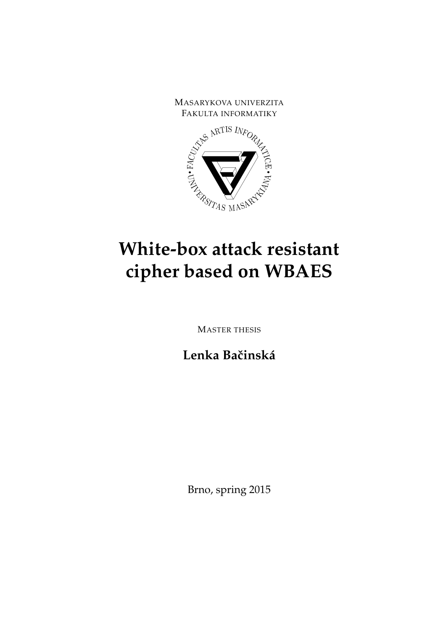<span id="page-0-0"></span>

# **White-box attack resistant cipher based on WBAES**

MASTER THESIS

**Lenka Baˇcinská**

Brno, spring 2015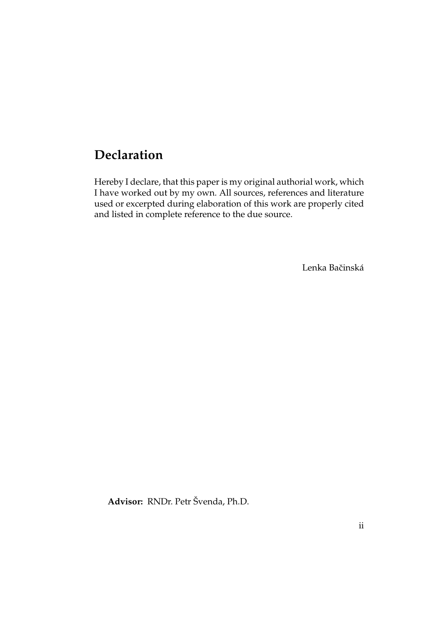## **Declaration**

Hereby I declare, that this paper is my original authorial work, which I have worked out by my own. All sources, references and literature used or excerpted during elaboration of this work are properly cited and listed in complete reference to the due source.

Lenka Bačinská

**Advisor:** RNDr. Petr Švenda, Ph.D.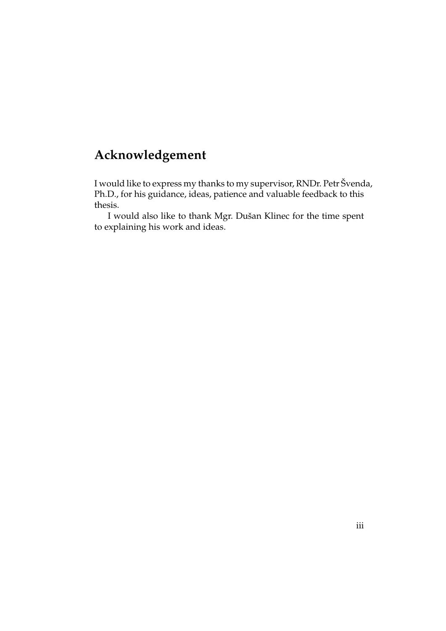## **Acknowledgement**

I would like to express my thanks to my supervisor, RNDr. Petr Švenda, Ph.D., for his guidance, ideas, patience and valuable feedback to this thesis.

I would also like to thank Mgr. Dušan Klinec for the time spent to explaining his work and ideas.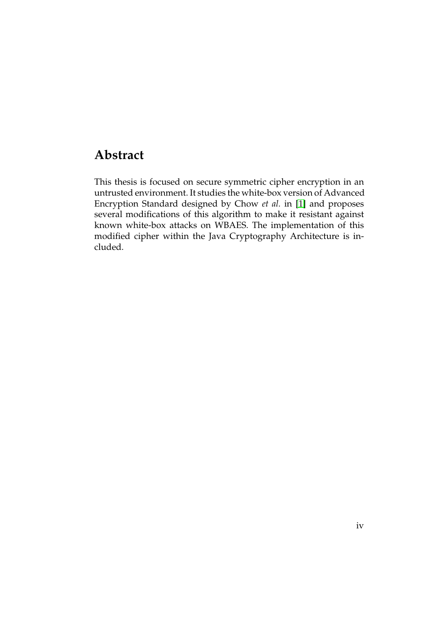## **Abstract**

This thesis is focused on secure symmetric cipher encryption in an untrusted environment. It studies the white-box version of Advanced Encryption Standard designed by Chow *et al.* in [\[1\]](#page-42-0) and proposes several modifications of this algorithm to make it resistant against known white-box attacks on WBAES. The implementation of this modified cipher within the Java Cryptography Architecture is included.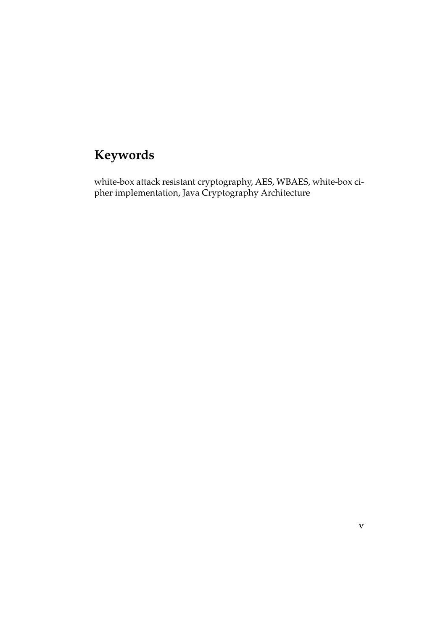## **Keywords**

white-box attack resistant cryptography, AES, WBAES, white-box cipher implementation, Java Cryptography Architecture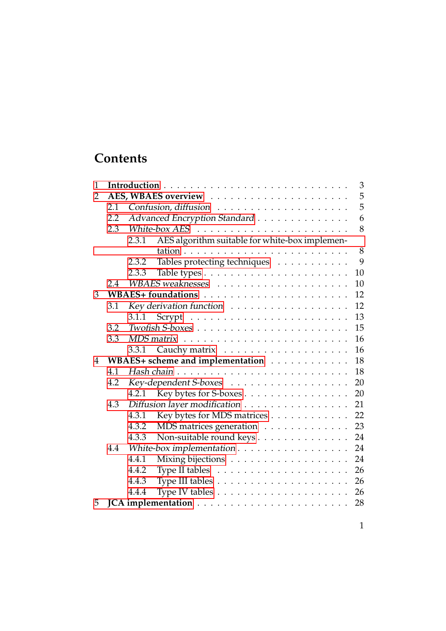## **Contents**

| $\mathbf{1}$   |     | 3                                                                          |  |  |  |
|----------------|-----|----------------------------------------------------------------------------|--|--|--|
| $\overline{2}$ |     | 5                                                                          |  |  |  |
|                | 2.1 | 5                                                                          |  |  |  |
|                | 2.2 | 6<br>Advanced Encryption Standard                                          |  |  |  |
|                | 2.3 | 8<br>White-box AES $\dots \dots \dots \dots \dots \dots \dots \dots \dots$ |  |  |  |
|                |     | AES algorithm suitable for white-box implemen-<br>2.3.1                    |  |  |  |
|                |     | 8                                                                          |  |  |  |
|                |     | 9<br>Tables protecting techniques<br>2.3.2                                 |  |  |  |
|                |     | 10<br>2.3.3                                                                |  |  |  |
|                | 2.4 | 10                                                                         |  |  |  |
| 3              |     | 12                                                                         |  |  |  |
|                | 3.1 | 12<br>Key derivation function                                              |  |  |  |
|                |     | 13<br>3.1.1                                                                |  |  |  |
|                | 3.2 | 15                                                                         |  |  |  |
|                | 3.3 | 16                                                                         |  |  |  |
|                |     | 16<br>3.3.1                                                                |  |  |  |
| 4              |     | 18<br>WBAES+ scheme and implementation                                     |  |  |  |
|                | 4.1 | 18                                                                         |  |  |  |
|                | 4.2 | 20                                                                         |  |  |  |
|                |     | Key bytes for S-boxes<br>20<br>4.2.1                                       |  |  |  |
|                | 4.3 | Diffusion layer modification<br>21                                         |  |  |  |
|                |     | Key bytes for MDS matrices<br>22<br>4.3.1                                  |  |  |  |
|                |     | 23<br>MDS matrices generation<br>4.3.2                                     |  |  |  |
|                |     | Non-suitable round keys<br>24<br>4.3.3                                     |  |  |  |
|                | 4.4 | 24<br>White-box implementation                                             |  |  |  |
|                |     | Mixing bijections<br>24<br>4.4.1                                           |  |  |  |
|                |     | 26<br>4.4.2                                                                |  |  |  |
|                |     | 26<br>4.4.3                                                                |  |  |  |
|                |     | 26<br>4.4.4                                                                |  |  |  |
| 5              |     | 28                                                                         |  |  |  |
|                |     |                                                                            |  |  |  |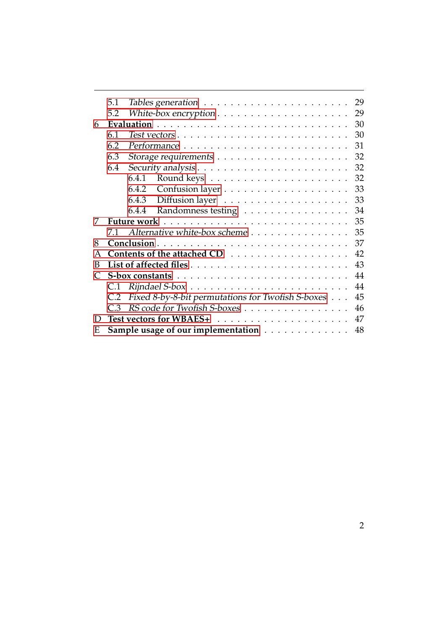|   | 5.1 | 29                                                                                       |
|---|-----|------------------------------------------------------------------------------------------|
|   | 5.2 | 29                                                                                       |
| 6 |     | 30                                                                                       |
|   | 6.1 | 30                                                                                       |
|   | 6.2 | 31                                                                                       |
|   | 6.3 | 32                                                                                       |
|   | 6.4 | 32                                                                                       |
|   |     | 32<br>6.4.1                                                                              |
|   |     | 33<br>6.4.2                                                                              |
|   |     | 33<br>6.4.3                                                                              |
|   |     | 34<br>Randomness testing<br>6.4.4                                                        |
| 7 |     | 35                                                                                       |
|   | 7.1 | Alternative white-box scheme<br>35                                                       |
| 8 |     | 37                                                                                       |
| A |     | 42                                                                                       |
| B |     | 43                                                                                       |
|   |     | 44<br>$S-box$ constants $\ldots \ldots \ldots \ldots \ldots \ldots \ldots \ldots \ldots$ |
|   | C.1 | 44                                                                                       |
|   | C.2 | Fixed 8-by-8-bit permutations for Twofish S-boxes<br>45                                  |
|   | C.3 | RS code for Twofish S-boxes<br>46                                                        |
| D |     | 47                                                                                       |
| E |     | Sample usage of our implementation<br>48                                                 |
|   |     |                                                                                          |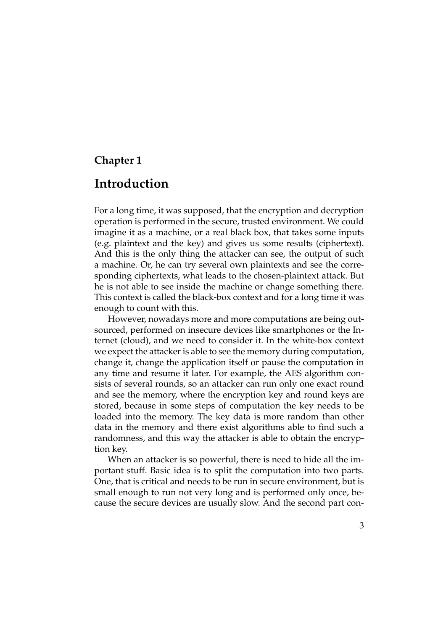### <span id="page-7-0"></span>**Chapter 1**

## **Introduction**

For a long time, it was supposed, that the encryption and decryption operation is performed in the secure, trusted environment. We could imagine it as a machine, or a real black box, that takes some inputs (e.g. plaintext and the key) and gives us some results (ciphertext). And this is the only thing the attacker can see, the output of such a machine. Or, he can try several own plaintexts and see the corresponding ciphertexts, what leads to the chosen-plaintext attack. But he is not able to see inside the machine or change something there. This context is called the black-box context and for a long time it was enough to count with this.

However, nowadays more and more computations are being outsourced, performed on insecure devices like smartphones or the Internet (cloud), and we need to consider it. In the white-box context we expect the attacker is able to see the memory during computation, change it, change the application itself or pause the computation in any time and resume it later. For example, the AES algorithm consists of several rounds, so an attacker can run only one exact round and see the memory, where the encryption key and round keys are stored, because in some steps of computation the key needs to be loaded into the memory. The key data is more random than other data in the memory and there exist algorithms able to find such a randomness, and this way the attacker is able to obtain the encryption key.

When an attacker is so powerful, there is need to hide all the important stuff. Basic idea is to split the computation into two parts. One, that is critical and needs to be run in secure environment, but is small enough to run not very long and is performed only once, because the secure devices are usually slow. And the second part con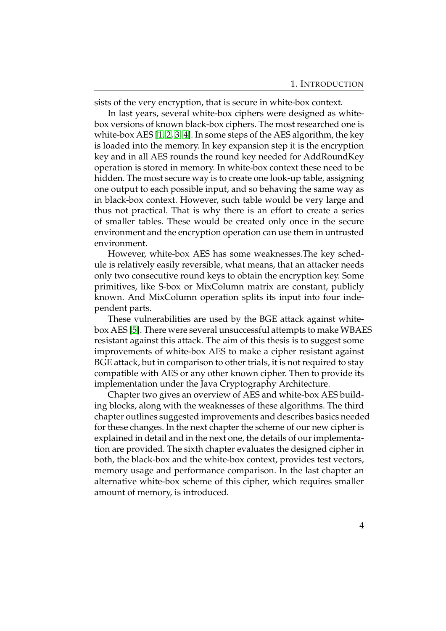sists of the very encryption, that is secure in white-box context.

In last years, several white-box ciphers were designed as whitebox versions of known black-box ciphers. The most researched one is white-box AES [\[1,](#page-42-0) [2,](#page-42-1) [3,](#page-42-2) [4\]](#page-42-3). In some steps of the AES algorithm, the key is loaded into the memory. In key expansion step it is the encryption key and in all AES rounds the round key needed for AddRoundKey operation is stored in memory. In white-box context these need to be hidden. The most secure way is to create one look-up table, assigning one output to each possible input, and so behaving the same way as in black-box context. However, such table would be very large and thus not practical. That is why there is an effort to create a series of smaller tables. These would be created only once in the secure environment and the encryption operation can use them in untrusted environment.

However, white-box AES has some weaknesses.The key schedule is relatively easily reversible, what means, that an attacker needs only two consecutive round keys to obtain the encryption key. Some primitives, like S-box or MixColumn matrix are constant, publicly known. And MixColumn operation splits its input into four independent parts.

These vulnerabilities are used by the BGE attack against whitebox AES [\[5\]](#page-42-4). There were several unsuccessful attempts to make WBAES resistant against this attack. The aim of this thesis is to suggest some improvements of white-box AES to make a cipher resistant against BGE attack, but in comparison to other trials, it is not required to stay compatible with AES or any other known cipher. Then to provide its implementation under the Java Cryptography Architecture.

Chapter two gives an overview of AES and white-box AES building blocks, along with the weaknesses of these algorithms. The third chapter outlines suggested improvements and describes basics needed for these changes. In the next chapter the scheme of our new cipher is explained in detail and in the next one, the details of our implementation are provided. The sixth chapter evaluates the designed cipher in both, the black-box and the white-box context, provides test vectors, memory usage and performance comparison. In the last chapter an alternative white-box scheme of this cipher, which requires smaller amount of memory, is introduced.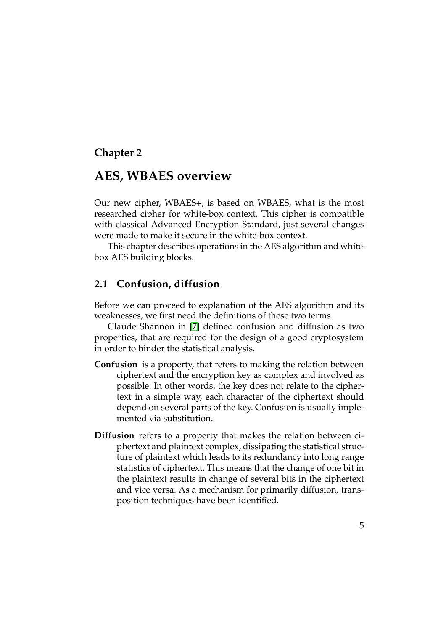### <span id="page-9-0"></span>**Chapter 2**

## **AES, WBAES overview**

Our new cipher, WBAES+, is based on WBAES, what is the most researched cipher for white-box context. This cipher is compatible with classical Advanced Encryption Standard, just several changes were made to make it secure in the white-box context.

This chapter describes operations in the AES algorithm and whitebox AES building blocks.

### <span id="page-9-1"></span>**2.1 Confusion, diffusion**

Before we can proceed to explanation of the AES algorithm and its weaknesses, we first need the definitions of these two terms.

Claude Shannon in [\[7\]](#page-42-5) defined confusion and diffusion as two properties, that are required for the design of a good cryptosystem in order to hinder the statistical analysis.

- **Confusion** is a property, that refers to making the relation between ciphertext and the encryption key as complex and involved as possible. In other words, the key does not relate to the ciphertext in a simple way, each character of the ciphertext should depend on several parts of the key. Confusion is usually implemented via substitution.
- **Diffusion** refers to a property that makes the relation between ciphertext and plaintext complex, dissipating the statistical structure of plaintext which leads to its redundancy into long range statistics of ciphertext. This means that the change of one bit in the plaintext results in change of several bits in the ciphertext and vice versa. As a mechanism for primarily diffusion, transposition techniques have been identified.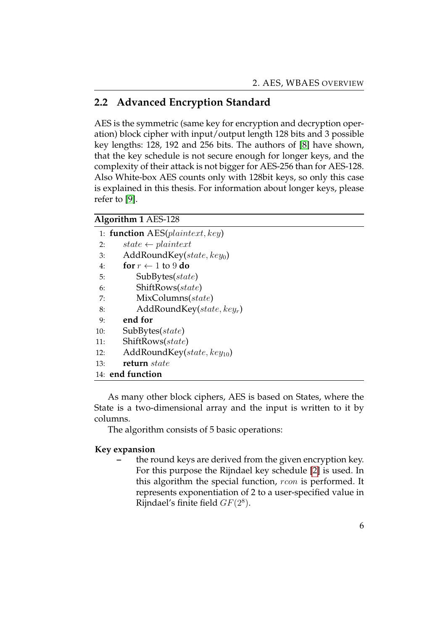## <span id="page-10-0"></span>**2.2 Advanced Encryption Standard**

AES is the symmetric (same key for encryption and decryption operation) block cipher with input/output length 128 bits and 3 possible key lengths: 128, 192 and 256 bits. The authors of [\[8\]](#page-43-0) have shown, that the key schedule is not secure enough for longer keys, and the complexity of their attack is not bigger for AES-256 than for AES-128. Also White-box AES counts only with 128bit keys, so only this case is explained in this thesis. For information about longer keys, please refer to [\[9\]](#page-43-1).

#### **Algorithm 1** AES-128

|     | 1: function AES( <i>plaintext</i> , key) |
|-----|------------------------------------------|
| 2:  | state $\leftarrow$ plaintext             |
| 3:  | $AddRoundKey(state, key_0)$              |
| 4:  | for $r \leftarrow 1$ to 9 do             |
| 5:  | SubBytes(state)                          |
| 6:  | ShiftRows(state)                         |
| 7:  | MixColumns(state)                        |
| 8:  | $AddRoundKey(state, key_r)$              |
| 9:  | end for                                  |
| 10: | SubBytes(state)                          |
| 11: | ShiftRows(state)                         |
| 12: | $AddRoundKey(state, key_{10})$           |
| 13: | return state                             |
|     | 14: <b>end function</b>                  |

As many other block ciphers, AES is based on States, where the State is a two-dimensional array and the input is written to it by columns.

The algorithm consists of 5 basic operations:

#### **Key expansion**

**–** the round keys are derived from the given encryption key. For this purpose the Rijndael key schedule [\[2\]](#page-0-0) is used. In this algorithm the special function, rcon is performed. It represents exponentiation of 2 to a user-specified value in Rijndael's finite field  $GF(2^8)$ .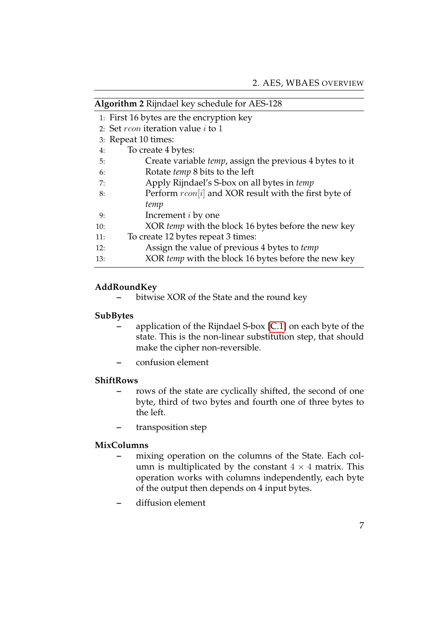| Algorithm 2 Rijndael key schedule for AES-128 |                                                                 |  |  |
|-----------------------------------------------|-----------------------------------------------------------------|--|--|
|                                               | 1: First 16 bytes are the encryption key                        |  |  |
|                                               | 2: Set $rcon$ iteration value $i$ to 1                          |  |  |
|                                               | 3: Repeat 10 times:                                             |  |  |
| 4:                                            | To create 4 bytes:                                              |  |  |
| 5:                                            | Create variable <i>temp</i> , assign the previous 4 bytes to it |  |  |
| 6:                                            | Rotate <i>temp</i> 8 bits to the left                           |  |  |
| 7:                                            | Apply Rijndael's S-box on all bytes in temp                     |  |  |
| 8:                                            | Perform $rcon[i]$ and XOR result with the first byte of         |  |  |
|                                               | temp                                                            |  |  |
| 9:                                            | Increment <i>i</i> by one                                       |  |  |
| 10:                                           | XOR temp with the block 16 bytes before the new key             |  |  |
| 11:                                           | To create 12 bytes repeat 3 times:                              |  |  |
| 12:                                           | Assign the value of previous 4 bytes to temp                    |  |  |
| 13:                                           | XOR temp with the block 16 bytes before the new key             |  |  |

#### **AddRoundKey**

**–** bitwise XOR of the State and the round key

#### **SubBytes**

- **–** application of the Rijndael S-box [\[C.1\]](#page-48-1) on each byte of the state. This is the non-linear substitution step, that should make the cipher non-reversible.
- **–** confusion element

#### **ShiftRows**

- **–** rows of the state are cyclically shifted, the second of one byte, third of two bytes and fourth one of three bytes to the left.
- **–** transposition step

#### **MixColumns**

- **–** mixing operation on the columns of the State. Each column is multiplicated by the constant  $4 \times 4$  matrix. This operation works with columns independently, each byte of the output then depends on 4 input bytes.
- **–** diffusion element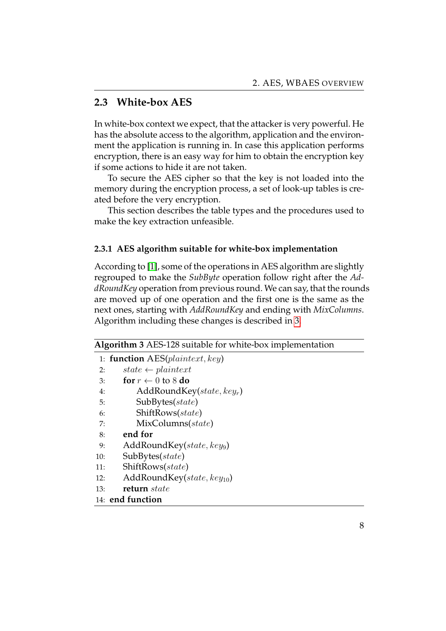### <span id="page-12-0"></span>**2.3 White-box AES**

In white-box context we expect, that the attacker is very powerful. He has the absolute access to the algorithm, application and the environment the application is running in. In case this application performs encryption, there is an easy way for him to obtain the encryption key if some actions to hide it are not taken.

To secure the AES cipher so that the key is not loaded into the memory during the encryption process, a set of look-up tables is created before the very encryption.

This section describes the table types and the procedures used to make the key extraction unfeasible.

#### <span id="page-12-1"></span>**2.3.1 AES algorithm suitable for white-box implementation**

According to [\[1\]](#page-42-0), some of the operations in AES algorithm are slightly regrouped to make the *SubByte* operation follow right after the *AddRoundKey* operation from previous round. We can say, that the rounds are moved up of one operation and the first one is the same as the next ones, starting with *AddRoundKey* and ending with *MixColumns*. Algorithm including these changes is described in [3.](#page-0-0)

|     | 1: function AES( <i>plaintext</i> , key) |
|-----|------------------------------------------|
| 2:  | state $\leftarrow$ plaintext             |
| 3:  | for $r \leftarrow 0$ to 8 do             |
| 4:  | $AddRoundKey(state, key_r)$              |
| 5:  | SubBytes(state)                          |
| 6:  | ShiftRows(state)                         |
| 7:  | MixColumns(state)                        |
| 8:  | end for                                  |
| 9:  | $AddRoundKey(state, key_9)$              |
| 10: | SubBytes(state)                          |
| 11: | ShiftRows(state)                         |
| 12: | $AddRoundKey(state, key_{10})$           |
| 13: | <b>return</b> state                      |
|     | 14: end function                         |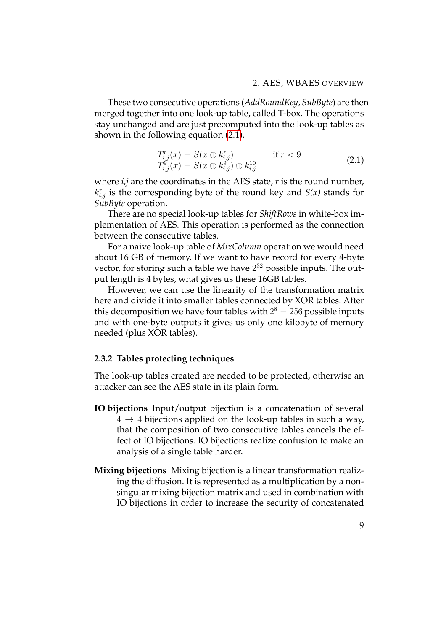These two consecutive operations (*AddRoundKey*, *SubByte*) are then merged together into one look-up table, called T-box. The operations stay unchanged and are just precomputed into the look-up tables as shown in the following equation [\(2.1\)](#page-13-1).

$$
T_{i,j}^r(x) = S(x \oplus k_{i,j}^r) \qquad \text{if } r < 9
$$
  
\n
$$
T_{i,j}^0(x) = S(x \oplus k_{i,j}^0) \oplus k_{i,j}^{10} \qquad (2.1)
$$

<span id="page-13-1"></span>where *i,j* are the coordinates in the AES state, *r* is the round number,  $k_{i,j}^r$  is the corresponding byte of the round key and  $S(x)$  stands for *SubByte* operation.

There are no special look-up tables for *ShiftRows* in white-box implementation of AES. This operation is performed as the connection between the consecutive tables.

For a naive look-up table of *MixColumn* operation we would need about 16 GB of memory. If we want to have record for every 4-byte vector, for storing such a table we have  $2^{32}$  possible inputs. The output length is 4 bytes, what gives us these 16GB tables.

However, we can use the linearity of the transformation matrix here and divide it into smaller tables connected by XOR tables. After this decomposition we have four tables with  $2^8 = 256$  possible inputs and with one-byte outputs it gives us only one kilobyte of memory needed (plus XOR tables).

#### <span id="page-13-0"></span>**2.3.2 Tables protecting techniques**

The look-up tables created are needed to be protected, otherwise an attacker can see the AES state in its plain form.

- **IO bijections** Input/output bijection is a concatenation of several  $4 \rightarrow 4$  bijections applied on the look-up tables in such a way, that the composition of two consecutive tables cancels the effect of IO bijections. IO bijections realize confusion to make an analysis of a single table harder.
- **Mixing bijections** Mixing bijection is a linear transformation realizing the diffusion. It is represented as a multiplication by a nonsingular mixing bijection matrix and used in combination with IO bijections in order to increase the security of concatenated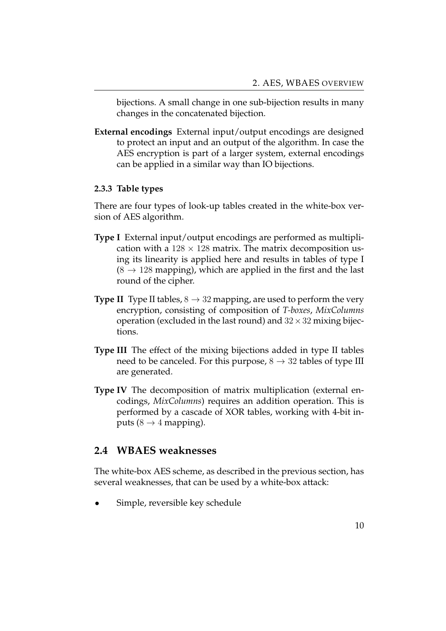bijections. A small change in one sub-bijection results in many changes in the concatenated bijection.

**External encodings** External input/output encodings are designed to protect an input and an output of the algorithm. In case the AES encryption is part of a larger system, external encodings can be applied in a similar way than IO bijections.

#### <span id="page-14-0"></span>**2.3.3 Table types**

There are four types of look-up tables created in the white-box version of AES algorithm.

- **Type I** External input/output encodings are performed as multiplication with a  $128 \times 128$  matrix. The matrix decomposition using its linearity is applied here and results in tables of type I  $(8 \rightarrow 128$  mapping), which are applied in the first and the last round of the cipher.
- **Type II** Type II tables,  $8 \rightarrow 32$  mapping, are used to perform the very encryption, consisting of composition of *T-boxes*, *MixColumns* operation (excluded in the last round) and  $32 \times 32$  mixing bijections.
- **Type III** The effect of the mixing bijections added in type II tables need to be canceled. For this purpose,  $8 \rightarrow 32$  tables of type III are generated.
- **Type IV** The decomposition of matrix multiplication (external encodings, *MixColumns*) requires an addition operation. This is performed by a cascade of XOR tables, working with 4-bit inputs (8  $\rightarrow$  4 mapping).

#### <span id="page-14-1"></span>**2.4 WBAES weaknesses**

The white-box AES scheme, as described in the previous section, has several weaknesses, that can be used by a white-box attack:

Simple, reversible key schedule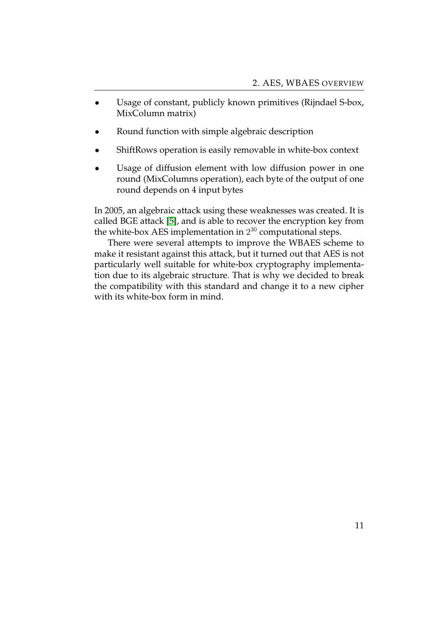- Usage of constant, publicly known primitives (Rijndael S-box, MixColumn matrix)
- Round function with simple algebraic description
- ShiftRows operation is easily removable in white-box context
- Usage of diffusion element with low diffusion power in one round (MixColumns operation), each byte of the output of one round depends on 4 input bytes

In 2005, an algebraic attack using these weaknesses was created. It is called BGE attack [\[5\]](#page-42-4), and is able to recover the encryption key from the white-box AES implementation in  $2^{30}$  computational steps.

There were several attempts to improve the WBAES scheme to make it resistant against this attack, but it turned out that AES is not particularly well suitable for white-box cryptography implementation due to its algebraic structure. That is why we decided to break the compatibility with this standard and change it to a new cipher with its white-box form in mind.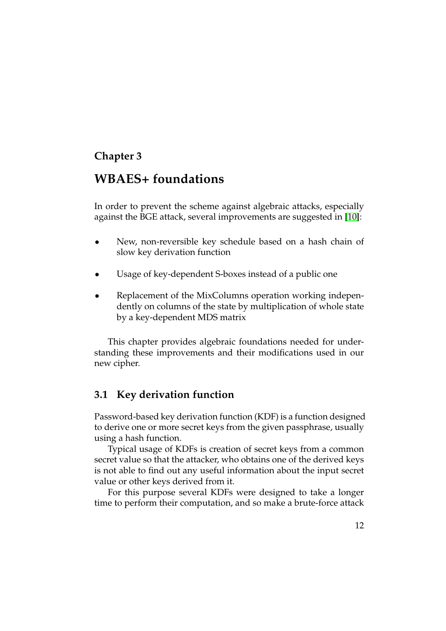## <span id="page-16-0"></span>**Chapter 3**

## **WBAES+ foundations**

In order to prevent the scheme against algebraic attacks, especially against the BGE attack, several improvements are suggested in [\[10\]](#page-43-2):

- New, non-reversible key schedule based on a hash chain of slow key derivation function
- Usage of key-dependent S-boxes instead of a public one
- Replacement of the MixColumns operation working independently on columns of the state by multiplication of whole state by a key-dependent MDS matrix

This chapter provides algebraic foundations needed for understanding these improvements and their modifications used in our new cipher.

### <span id="page-16-1"></span>**3.1 Key derivation function**

Password-based key derivation function (KDF) is a function designed to derive one or more secret keys from the given passphrase, usually using a hash function.

Typical usage of KDFs is creation of secret keys from a common secret value so that the attacker, who obtains one of the derived keys is not able to find out any useful information about the input secret value or other keys derived from it.

For this purpose several KDFs were designed to take a longer time to perform their computation, and so make a brute-force attack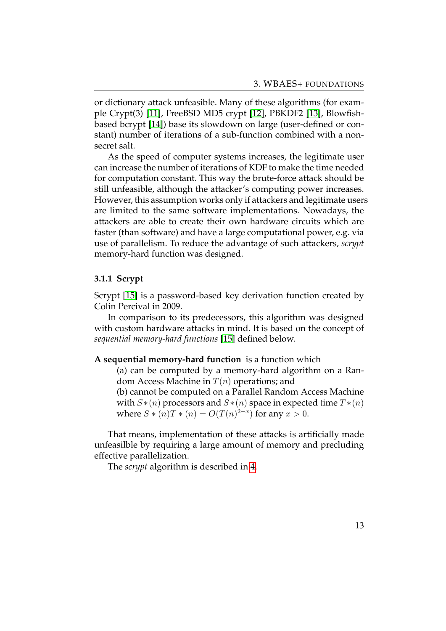or dictionary attack unfeasible. Many of these algorithms (for example Crypt(3) [\[11\]](#page-43-3), FreeBSD MD5 crypt [\[12\]](#page-43-4), PBKDF2 [\[13\]](#page-43-5), Blowfishbased bcrypt [\[14\]](#page-43-6)) base its slowdown on large (user-defined or constant) number of iterations of a sub-function combined with a nonsecret salt.

As the speed of computer systems increases, the legitimate user can increase the number of iterations of KDF to make the time needed for computation constant. This way the brute-force attack should be still unfeasible, although the attacker's computing power increases. However, this assumption works only if attackers and legitimate users are limited to the same software implementations. Nowadays, the attackers are able to create their own hardware circuits which are faster (than software) and have a large computational power, e.g. via use of parallelism. To reduce the advantage of such attackers, *scrypt* memory-hard function was designed.

#### <span id="page-17-0"></span>**3.1.1 Scrypt**

Scrypt [\[15\]](#page-43-7) is a password-based key derivation function created by Colin Percival in 2009.

In comparison to its predecessors, this algorithm was designed with custom hardware attacks in mind. It is based on the concept of *sequential memory-hard functions* [\[15\]](#page-43-7) defined below.

#### **A sequential memory-hard function** is a function which

(a) can be computed by a memory-hard algorithm on a Random Access Machine in  $T(n)$  operations; and

(b) cannot be computed on a Parallel Random Access Machine with  $S*(n)$  processors and  $S*(n)$  space in expected time  $T*(n)$ where  $S * (n)T * (n) = O(T(n)^{2-x})$  for any  $x > 0$ .

That means, implementation of these attacks is artificially made unfeasilble by requiring a large amount of memory and precluding effective parallelization.

The *scrypt* algorithm is described in [4.](#page-0-0)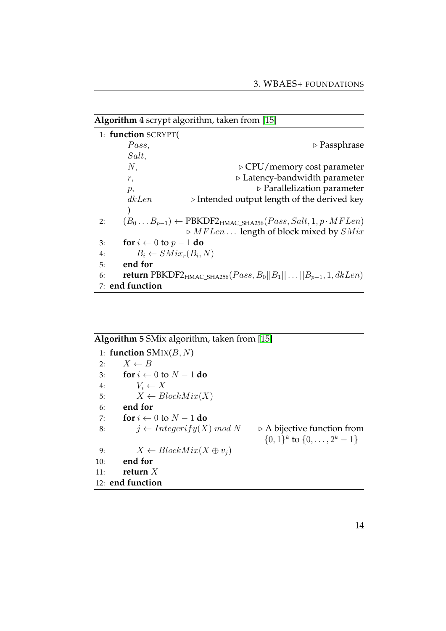#### **Algorithm 4** scrypt algorithm, taken from [\[15\]](#page-43-7)

| 1: function SCRYPT(                    |                                                                                            |
|----------------------------------------|--------------------------------------------------------------------------------------------|
| Pass,                                  | $\triangleright$ Passphrase                                                                |
| $Salt$ ,                               |                                                                                            |
| $N_{\rm \star}$                        | $\triangleright$ CPU/memory cost parameter                                                 |
| r,                                     | $\triangleright$ Latency-bandwidth parameter                                               |
| p,                                     | $\triangleright$ Parallelization parameter                                                 |
| dkLen                                  | $\triangleright$ Intended output length of the derived key                                 |
|                                        |                                                                                            |
| 2:                                     | $(B_0B_{p-1}) \leftarrow$ PBKDF2 <sub>HMAC_SHA256</sub> ( $Pass, Salt, 1, p \cdot MFLen$ ) |
|                                        | $\triangleright$ MFLen length of block mixed by $SMix$                                     |
| for $i \leftarrow 0$ to $p-1$ do<br>3: |                                                                                            |
| $B_i \leftarrow SMix_r(B_i, N)$<br>4:  |                                                                                            |
| end for<br>5:                          |                                                                                            |
| 6:                                     | <b>return</b> PBKDF2 <sub>HMAC_SHA256</sub> $(Pass, B_0  B_1    B_{p-1}, 1, dkLen)$        |
| 7: end function                        |                                                                                            |

### **Algorithm 5** SMix algorithm, taken from [\[15\]](#page-43-7)

1: **function**  $SMIX(B, N)$ 2:  $X \leftarrow B$ 3: **for**  $i \leftarrow 0$  to  $N - 1$  **do** 4:  $V_i \leftarrow X$ 5:  $X \leftarrow BlockMix(X)$ 6: **end for** 7: **for**  $i \leftarrow 0$  to  $N - 1$  **do** 8:  $j \leftarrow \text{Integer}ify(X) \text{ mod } N$   $\rightarrow$  A bijective function from  $\{0,1\}^k$  to  $\{0,\ldots,2^k-1\}$ 9:  $X \leftarrow BlockMix(X \oplus v_j)$ 10: **end for** 11: **return** X 12: **end function**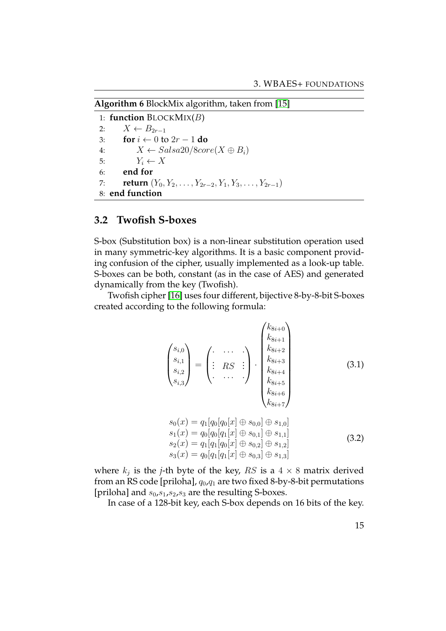**Algorithm 6** BlockMix algorithm, taken from [\[15\]](#page-43-7)

1: **function** BLOCKMIX(B) 2:  $X \leftarrow B_{2r-1}$ 3: **for**  $i \leftarrow 0$  to  $2r - 1$  **do** 4:  $X \leftarrow Salsa20/8core(X \oplus B_i)$ 5:  $Y_i \leftarrow X$ 6: **end for** 7: **return**  $(Y_0, Y_2, \ldots, Y_{2r-2}, Y_1, Y_3, \ldots, Y_{2r-1})$ 8: **end function**

### <span id="page-19-0"></span>**3.2 Twofish S-boxes**

S-box (Substitution box) is a non-linear substitution operation used in many symmetric-key algorithms. It is a basic component providing confusion of the cipher, usually implemented as a look-up table. S-boxes can be both, constant (as in the case of AES) and generated dynamically from the key (Twofish).

Twofish cipher [\[16\]](#page-43-8) uses four different, bijective 8-by-8-bit S-boxes created according to the following formula:

$$
\begin{pmatrix}\ns_{i,0} \\
s_{i,1} \\
s_{i,2} \\
s_{i,3}\n\end{pmatrix} = \begin{pmatrix}\n\cdot & \cdots & \cdot \\
\cdot & R.S & \vdots \\
\cdot & R.S & \vdots \\
\cdot & \cdots & \cdot\n\end{pmatrix} \cdot \begin{pmatrix}\nk_{8i+1} \\
k_{8i+2} \\
k_{8i+3} \\
k_{8i+4} \\
k_{8i+5} \\
k_{8i+6} \\
k_{8i+7}\n\end{pmatrix}
$$
\n(3.1)  
\ns<sub>0</sub>(x) = q<sub>1</sub>[q<sub>0</sub>[q<sub>0</sub>[x]  $\oplus$  s<sub>0,0</sub>]  $\oplus$  s<sub>1,0</sub>]  
\ns<sub>1</sub>(x) = q<sub>0</sub>[q<sub>0</sub>[q<sub>1</sub>[x]  $\oplus$  s<sub>0,1</sub>]  $\oplus$  s<sub>1,1</sub>]  
\ns<sub>2</sub>(x) = q<sub>1</sub>[q<sub>1</sub>[q<sub>0</sub>[x]  $\oplus$  s<sub>0,2</sub>]  $\oplus$  s<sub>1,2</sub>]  
\ns<sub>3</sub>(x) = q<sub>0</sub>[q<sub>1</sub>[q<sub>1</sub>[x]  $\oplus$  s<sub>0,3</sub>]  $\oplus$  s<sub>1,3</sub>] (3.2)

where  $k_j$  is the *j*-th byte of the key,  $RS$  is a  $4 \times 8$  matrix derived from an RS code [priloha],  $q_0$ , $q_1$  are two fixed 8-by-8-bit permutations [priloha] and  $s_0, s_1, s_2, s_3$  are the resulting S-boxes.

In case of a 128-bit key, each S-box depends on 16 bits of the key.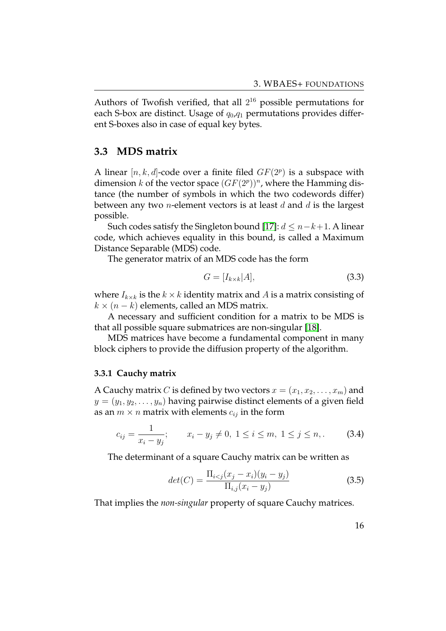Authors of Twofish verified, that all  $2^{16}$  possible permutations for each S-box are distinct. Usage of  $q_0, q_1$  permutations provides different S-boxes also in case of equal key bytes.

#### <span id="page-20-0"></span>**3.3 MDS matrix**

A linear  $[n, k, d]$ -code over a finite filed  $GF(2<sup>p</sup>)$  is a subspace with dimension  $k$  of the vector space  $(GF(2^n))^n$ , where the Hamming distance (the number of symbols in which the two codewords differ) between any two *n*-element vectors is at least  $d$  and  $d$  is the largest possible.

Such codes satisfy the Singleton bound [\[17\]](#page-43-9):  $d \leq n-k+1$ . A linear code, which achieves equality in this bound, is called a Maximum Distance Separable (MDS) code.

The generator matrix of an MDS code has the form

$$
G = [I_{k \times k} | A], \tag{3.3}
$$

where  $I_{k\times k}$  is the  $k\times k$  identity matrix and A is a matrix consisting of  $k \times (n - k)$  elements, called an MDS matrix.

A necessary and sufficient condition for a matrix to be MDS is that all possible square submatrices are non-singular [\[18\]](#page-44-0).

MDS matrices have become a fundamental component in many block ciphers to provide the diffusion property of the algorithm.

#### <span id="page-20-1"></span>**3.3.1 Cauchy matrix**

A Cauchy matrix C is defined by two vectors  $x = (x_1, x_2, \ldots, x_m)$  and  $y = (y_1, y_2, \dots, y_n)$  having pairwise distinct elements of a given field as an  $m \times n$  matrix with elements  $c_{ij}$  in the form

$$
c_{ij} = \frac{1}{x_i - y_j}; \qquad x_i - y_j \neq 0, \ 1 \leq i \leq m, \ 1 \leq j \leq n, \tag{3.4}
$$

The determinant of a square Cauchy matrix can be written as

$$
det(C) = \frac{\Pi_{i < j}(x_j - x_i)(y_i - y_j)}{\Pi_{i,j}(x_i - y_j)}\tag{3.5}
$$

That implies the *non-singular* property of square Cauchy matrices.

16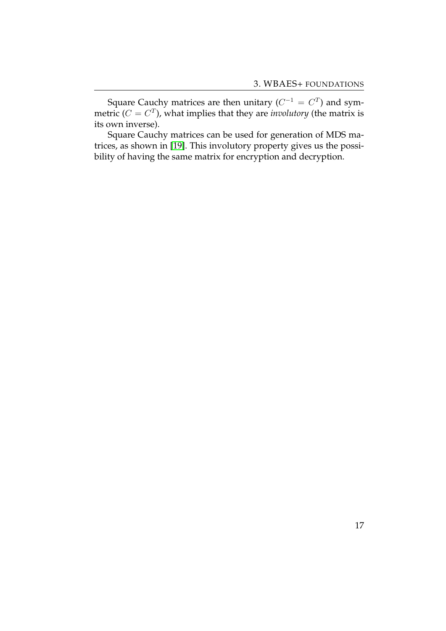Square Cauchy matrices are then unitary ( $C^{-1} = C^{T}$ ) and symmetric ( $C = C^T$ ), what implies that they are *involutory* (the matrix is its own inverse).

Square Cauchy matrices can be used for generation of MDS matrices, as shown in [\[19\]](#page-44-1). This involutory property gives us the possibility of having the same matrix for encryption and decryption.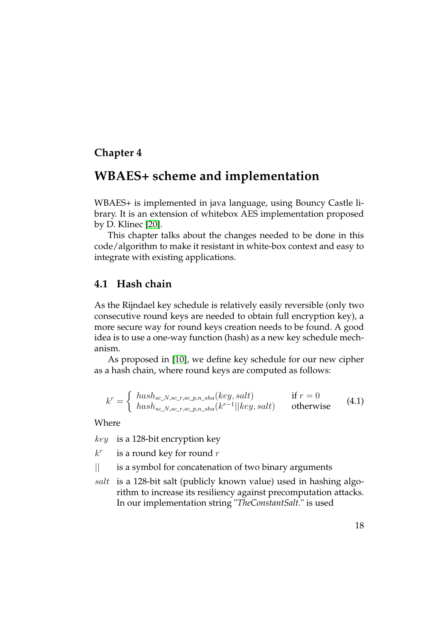### <span id="page-22-0"></span>**Chapter 4**

## **WBAES+ scheme and implementation**

WBAES+ is implemented in java language, using Bouncy Castle library. It is an extension of whitebox AES implementation proposed by D. Klinec [\[20\]](#page-44-2).

This chapter talks about the changes needed to be done in this code/algorithm to make it resistant in white-box context and easy to integrate with existing applications.

### <span id="page-22-1"></span>**4.1 Hash chain**

As the Rijndael key schedule is relatively easily reversible (only two consecutive round keys are needed to obtain full encryption key), a more secure way for round keys creation needs to be found. A good idea is to use a one-way function (hash) as a new key schedule mechanism.

As proposed in [\[10\]](#page-43-2), we define key schedule for our new cipher as a hash chain, where round keys are computed as follows:

<span id="page-22-2"></span>
$$
k^r = \begin{cases} \n\text{hash}_{sc\_N, sc\_r, sc\_p, n\_sha}(\text{key}, \text{salt}) & \text{if } r = 0\\ \n\text{hash}_{sc\_N, sc\_r, sc\_p, n\_sha}(\text{k}^{r-1}||\text{key}, \text{salt}) & \text{otherwise} \n\end{cases} \tag{4.1}
$$

Where

key is a 128-bit encryption key

 $k^r$ is a round key for round  $r$ 

|| is a symbol for concatenation of two binary arguments

salt is a 128-bit salt (publicly known value) used in hashing algorithm to increase its resiliency against precomputation attacks. In our implementation string "*TheConstantSalt.*" is used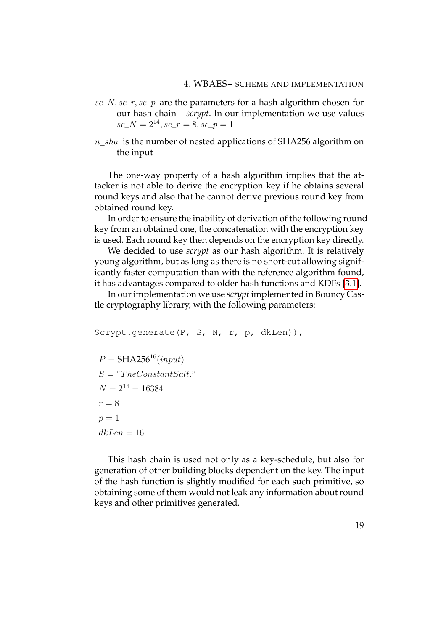- $sc_N$ ,  $sc_r$ ,  $sc_p$  are the parameters for a hash algorithm chosen for our hash chain – *scrypt*. In our implementation we use values  $sc_N = 2^{14}$ ,  $sc_r = 8$ ,  $sc_p = 1$
- $n\_sha$  is the number of nested applications of SHA256 algorithm on the input

The one-way property of a hash algorithm implies that the attacker is not able to derive the encryption key if he obtains several round keys and also that he cannot derive previous round key from obtained round key.

In order to ensure the inability of derivation of the following round key from an obtained one, the concatenation with the encryption key is used. Each round key then depends on the encryption key directly.

We decided to use *scrypt* as our hash algorithm. It is relatively young algorithm, but as long as there is no short-cut allowing significantly faster computation than with the reference algorithm found, it has advantages compared to older hash functions and KDFs [\[3.1\]](#page-16-1).

In our implementation we use *scrypt* implemented in Bouncy Castle cryptography library, with the following parameters:

```
Scrypt.generate(P, S, N, r, p, dkLen)),
P = \text{SHA256}^{16}(input)S = "The Constant Salt."N = 2^{14} = 16384r = 8p = 1dkLen = 16
```
This hash chain is used not only as a key-schedule, but also for generation of other building blocks dependent on the key. The input of the hash function is slightly modified for each such primitive, so obtaining some of them would not leak any information about round keys and other primitives generated.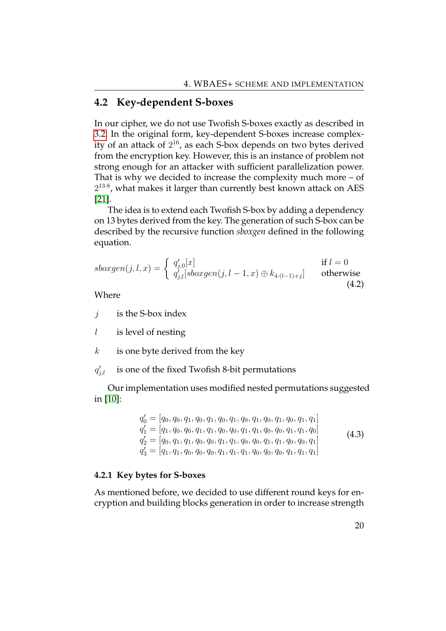#### <span id="page-24-0"></span>**4.2 Key-dependent S-boxes**

In our cipher, we do not use Twofish S-boxes exactly as described in [3.2.](#page-19-0) In the original form, key-dependent S-boxes increase complexity of an attack of  $2^{16}$ , as each S-box depends on two bytes derived from the encryption key. However, this is an instance of problem not strong enough for an attacker with sufficient parallelization power. That is why we decided to increase the complexity much more – of  $2^{13.8}$ , what makes it larger than currently best known attack on AES [\[21\]](#page-44-3).

The idea is to extend each Twofish S-box by adding a dependency on 13 bytes derived from the key. The generation of such S-box can be described by the recursive function *sboxgen* defined in the following equation.

$$
sboxgen(j, l, x) = \begin{cases} q'_{j,0}[x] & \text{if } l = 0\\ q'_{j,l}[sboxgen(j, l-1, x) \oplus k_{4\cdot(l-1)+j}] & \text{otherwise} \end{cases}
$$
(4.2)

Where

 $i$  is the S-box index

 $l$  is level of nesting

 $k$  is one byte derived from the key

 $q_1'$ is one of the fixed Twofish 8-bit permutations

Our implementation uses modified nested permutations suggested in [\[10\]](#page-43-2):

$$
q'_0 = [q_0, q_0, q_1, q_0, q_1, q_0, q_1, q_0, q_1, q_0, q_1, q_0, q_1, q_1]
$$
  
\n
$$
q'_1 = [q_1, q_0, q_0, q_1, q_1, q_0, q_0, q_1, q_1, q_0, q_0, q_1, q_1, q_0]
$$
  
\n
$$
q'_2 = [q_0, q_1, q_1, q_0, q_0, q_1, q_1, q_0, q_0, q_1, q_1, q_0, q_0, q_1]
$$
  
\n
$$
q'_3 = [q_1, q_1, q_0, q_0, q_0, q_1, q_1, q_0, q_0, q_0, q_1, q_1, q_1]
$$
\n(4.3)

#### <span id="page-24-1"></span>**4.2.1 Key bytes for S-boxes**

As mentioned before, we decided to use different round keys for encryption and building blocks generation in order to increase strength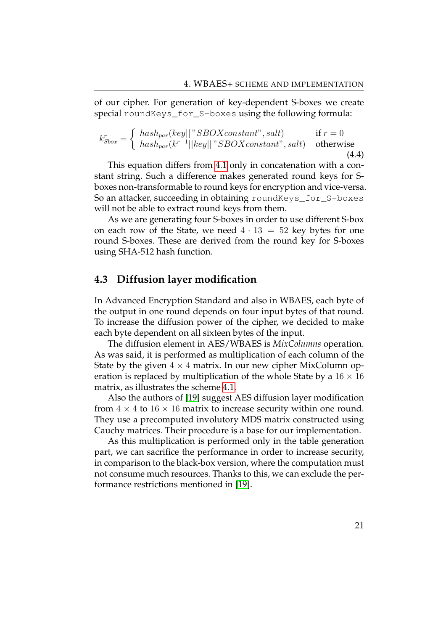of our cipher. For generation of key-dependent S-boxes we create special roundKeys\_for\_S-boxes using the following formula:

$$
k_{Sbox}^r = \begin{cases} \quad hash_{par}(key||\text{"SBOXconstant", salt}) & \text{if } r = 0\\ \quad hash_{par}(k^{r-1}||key||\text{"SBOXconstant", salt}) & \text{otherwise} \end{cases} \tag{4.4}
$$

This equation differs from [4.1](#page-22-2) only in concatenation with a constant string. Such a difference makes generated round keys for Sboxes non-transformable to round keys for encryption and vice-versa. So an attacker, succeeding in obtaining roundKeys\_for\_S-boxes will not be able to extract round keys from them.

As we are generating four S-boxes in order to use different S-box on each row of the State, we need  $4 \cdot 13 = 52$  key bytes for one round S-boxes. These are derived from the round key for S-boxes using SHA-512 hash function.

#### <span id="page-25-0"></span>**4.3 Diffusion layer modification**

In Advanced Encryption Standard and also in WBAES, each byte of the output in one round depends on four input bytes of that round. To increase the diffusion power of the cipher, we decided to make each byte dependent on all sixteen bytes of the input.

The diffusion element in AES/WBAES is *MixColumns* operation. As was said, it is performed as multiplication of each column of the State by the given  $4 \times 4$  matrix. In our new cipher MixColumn operation is replaced by multiplication of the whole State by a  $16 \times 16$ matrix, as illustrates the scheme [4.1.](#page-26-1)

Also the authors of [\[19\]](#page-44-1) suggest AES diffusion layer modification from  $4 \times 4$  to  $16 \times 16$  matrix to increase security within one round. They use a precomputed involutory MDS matrix constructed using Cauchy matrices. Their procedure is a base for our implementation.

As this multiplication is performed only in the table generation part, we can sacrifice the performance in order to increase security, in comparison to the black-box version, where the computation must not consume much resources. Thanks to this, we can exclude the performance restrictions mentioned in [\[19\]](#page-44-1).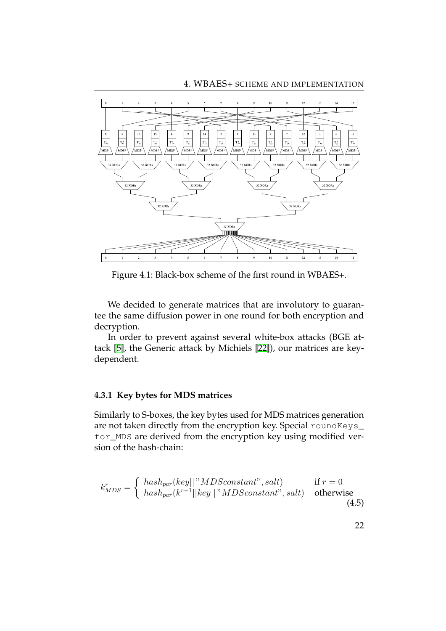#### 4. WBAES+ SCHEME AND IMPLEMENTATION

<span id="page-26-1"></span>

Figure 4.1: Black-box scheme of the first round in WBAES+.

We decided to generate matrices that are involutory to guarantee the same diffusion power in one round for both encryption and decryption.

In order to prevent against several white-box attacks (BGE attack [\[5\]](#page-42-4), the Generic attack by Michiels [\[22\]](#page-44-4)), our matrices are keydependent.

#### <span id="page-26-0"></span>**4.3.1 Key bytes for MDS matrices**

Similarly to S-boxes, the key bytes used for MDS matrices generation are not taken directly from the encryption key. Special roundKeys\_ for\_MDS are derived from the encryption key using modified version of the hash-chain:

$$
k_{MDS}^r = \begin{cases} \n\text{hash}_{par}(\text{key}||\text{"MDSconstant", salt}) & \text{if } r = 0\\ \n\text{hash}_{par}(k^{r-1}||\text{key}||\text{"MDSconstant", salt}) & \text{otherwise} \n\end{cases} \tag{4.5}
$$

22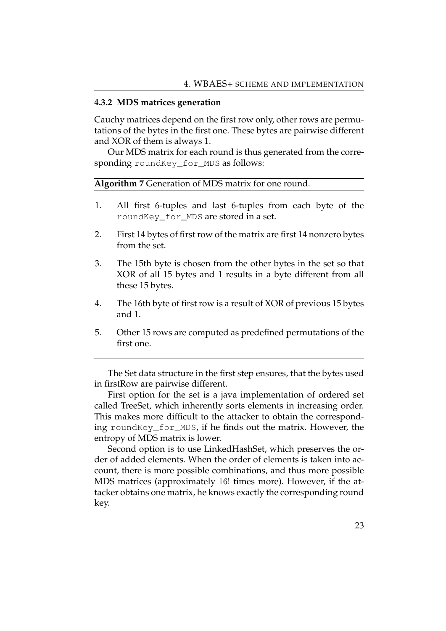#### <span id="page-27-0"></span>**4.3.2 MDS matrices generation**

Cauchy matrices depend on the first row only, other rows are permutations of the bytes in the first one. These bytes are pairwise different and XOR of them is always 1.

Our MDS matrix for each round is thus generated from the corresponding roundKey\_for\_MDS as follows:

#### **Algorithm 7** Generation of MDS matrix for one round.

- 1. All first 6-tuples and last 6-tuples from each byte of the roundKey\_for\_MDS are stored in a set.
- 2. First 14 bytes of first row of the matrix are first 14 nonzero bytes from the set.
- 3. The 15th byte is chosen from the other bytes in the set so that XOR of all 15 bytes and 1 results in a byte different from all these 15 bytes.
- 4. The 16th byte of first row is a result of XOR of previous 15 bytes and 1.
- 5. Other 15 rows are computed as predefined permutations of the first one.

The Set data structure in the first step ensures, that the bytes used in firstRow are pairwise different.

First option for the set is a java implementation of ordered set called TreeSet, which inherently sorts elements in increasing order. This makes more difficult to the attacker to obtain the corresponding roundKey\_for\_MDS, if he finds out the matrix. However, the entropy of MDS matrix is lower.

Second option is to use LinkedHashSet, which preserves the order of added elements. When the order of elements is taken into account, there is more possible combinations, and thus more possible MDS matrices (approximately 16! times more). However, if the attacker obtains one matrix, he knows exactly the corresponding round key.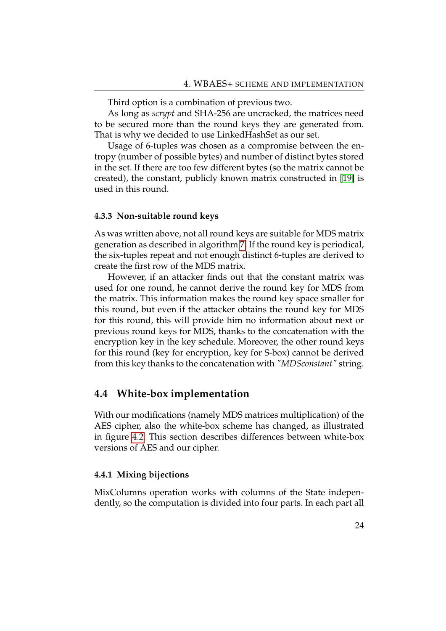Third option is a combination of previous two.

As long as *scrypt* and SHA-256 are uncracked, the matrices need to be secured more than the round keys they are generated from. That is why we decided to use LinkedHashSet as our set.

Usage of 6-tuples was chosen as a compromise between the entropy (number of possible bytes) and number of distinct bytes stored in the set. If there are too few different bytes (so the matrix cannot be created), the constant, publicly known matrix constructed in [\[19\]](#page-44-1) is used in this round.

#### <span id="page-28-0"></span>**4.3.3 Non-suitable round keys**

As was written above, not all round keys are suitable for MDS matrix generation as described in algorithm [7.](#page-0-0) If the round key is periodical, the six-tuples repeat and not enough distinct 6-tuples are derived to create the first row of the MDS matrix.

However, if an attacker finds out that the constant matrix was used for one round, he cannot derive the round key for MDS from the matrix. This information makes the round key space smaller for this round, but even if the attacker obtains the round key for MDS for this round, this will provide him no information about next or previous round keys for MDS, thanks to the concatenation with the encryption key in the key schedule. Moreover, the other round keys for this round (key for encryption, key for S-box) cannot be derived from this key thanks to the concatenation with *"MDSconstant"* string.

#### <span id="page-28-1"></span>**4.4 White-box implementation**

With our modifications (namely MDS matrices multiplication) of the AES cipher, also the white-box scheme has changed, as illustrated in figure [4.2.](#page-29-0) This section describes differences between white-box versions of AES and our cipher.

#### <span id="page-28-2"></span>**4.4.1 Mixing bijections**

MixColumns operation works with columns of the State independently, so the computation is divided into four parts. In each part all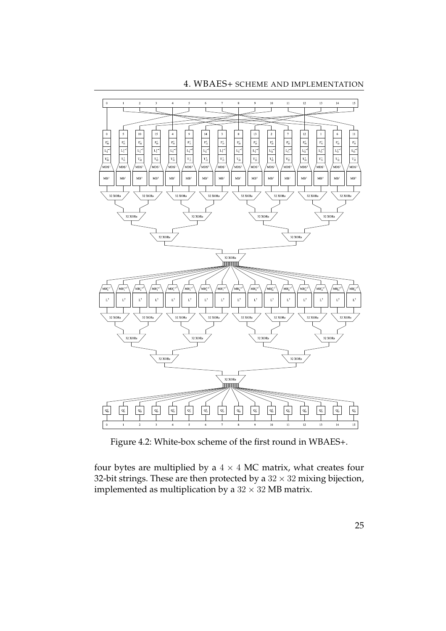

<span id="page-29-0"></span>

Figure 4.2: White-box scheme of the first round in WBAES+.

four bytes are multiplied by a  $4 \times 4$  MC matrix, what creates four 32-bit strings. These are then protected by a  $32 \times 32$  mixing bijection, implemented as multiplication by a  $32 \times 32$  MB matrix.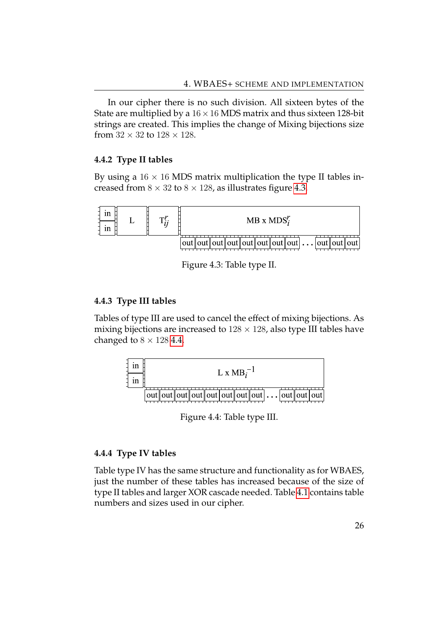In our cipher there is no such division. All sixteen bytes of the State are multiplied by a  $16 \times 16$  MDS matrix and thus sixteen 128-bit strings are created. This implies the change of Mixing bijections size from  $32 \times 32$  to  $128 \times 128$ .

#### <span id="page-30-0"></span>**4.4.2 Type II tables**

By using a  $16 \times 16$  MDS matrix multiplication the type II tables increased from  $8 \times 32$  to  $8 \times 128$ , as illustrates figure [4.3.](#page-30-3)

<span id="page-30-3"></span>

Figure 4.3: Table type II.

#### <span id="page-30-1"></span>**4.4.3 Type III tables**

Tables of type III are used to cancel the effect of mixing bijections. As mixing bijections are increased to  $128 \times 128$ , also type III tables have changed to  $8 \times 128$  [4.4.](#page-30-4)

<span id="page-30-4"></span>

Figure 4.4: Table type III.

#### <span id="page-30-2"></span>**4.4.4 Type IV tables**

Table type IV has the same structure and functionality as for WBAES, just the number of these tables has increased because of the size of type II tables and larger XOR cascade needed. Table [4.1](#page-31-0) contains table numbers and sizes used in our cipher.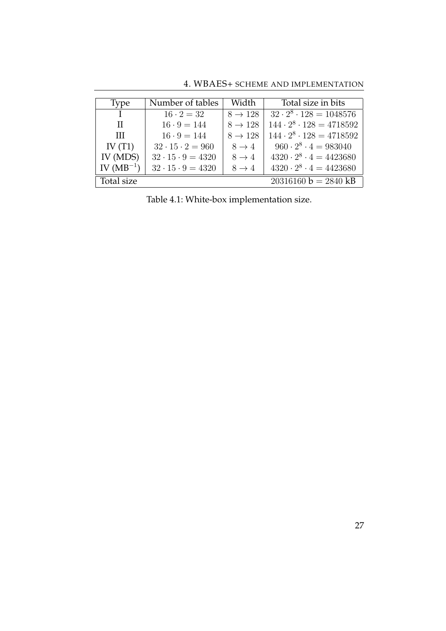<span id="page-31-0"></span>

| <b>Type</b>    | Number of tables             | Width               | Total size in bits                  |
|----------------|------------------------------|---------------------|-------------------------------------|
| $\mathbf{I}$   | $16 \cdot 2 = 32$            | $8 \rightarrow 128$ | $32 \cdot 2^8 \cdot 128 = 1048576$  |
| H              | $16 \cdot 9 = 144$           | $8 \rightarrow 128$ | $144 \cdot 2^8 \cdot 128 = 4718592$ |
| TH             | $16 \cdot 9 = 144$           | $8 \rightarrow 128$ | $144 \cdot 2^8 \cdot 128 = 4718592$ |
| IV $(T1)$      | $32 \cdot 15 \cdot 2 = 960$  | $8 \rightarrow 4$   | $960 \cdot 2^8 \cdot 4 = 983040$    |
| IV (MDS)       | $32 \cdot 15 \cdot 9 = 4320$ | $8 \rightarrow 4$   | $4320 \cdot 2^8 \cdot 4 = 4423680$  |
| IV $(MB^{-1})$ | $32 \cdot 15 \cdot 9 = 4320$ | $8 \rightarrow 4$   | $4320 \cdot 2^8 \cdot 4 = 4423680$  |
| Total size     |                              |                     | $20316160 b = 2840 kB$              |

4. WBAES+ SCHEME AND IMPLEMENTATION

Table 4.1: White-box implementation size.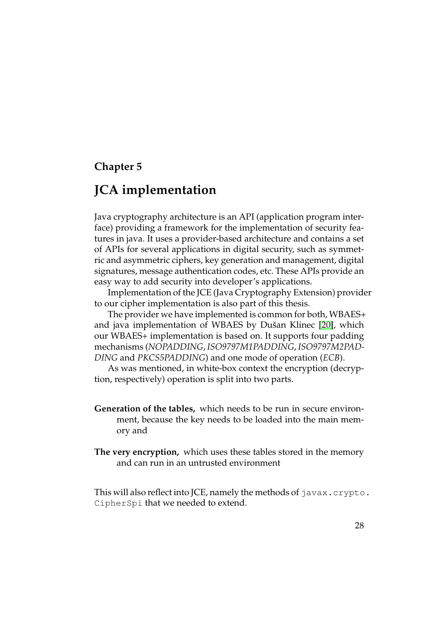### <span id="page-32-0"></span>**Chapter 5**

## **JCA implementation**

Java cryptography architecture is an API (application program interface) providing a framework for the implementation of security features in java. It uses a provider-based architecture and contains a set of APIs for several applications in digital security, such as symmetric and asymmetric ciphers, key generation and management, digital signatures, message authentication codes, etc. These APIs provide an easy way to add security into developer's applications.

Implementation of the JCE (Java Cryptography Extension) provider to our cipher implementation is also part of this thesis.

The provider we have implemented is common for both, WBAES+ and java implementation of WBAES by Dušan Klinec [\[20\]](#page-44-2), which our WBAES+ implementation is based on. It supports four padding mechanisms (*NOPADDING*, *ISO9797M1PADDING*, *ISO9797M2PAD-DING* and *PKCS5PADDING*) and one mode of operation (*ECB*).

As was mentioned, in white-box context the encryption (decryption, respectively) operation is split into two parts.

- **Generation of the tables,** which needs to be run in secure environment, because the key needs to be loaded into the main memory and
- **The very encryption,** which uses these tables stored in the memory and can run in an untrusted environment

This will also reflect into JCE, namely the methods of javax.crypto. CipherSpi that we needed to extend.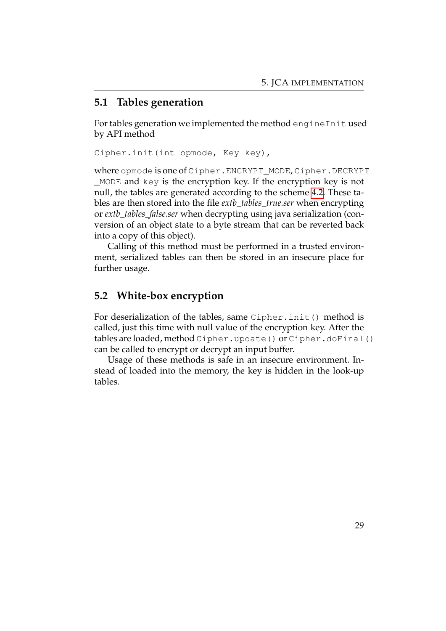### <span id="page-33-0"></span>**5.1 Tables generation**

For tables generation we implemented the method engineInit used by API method

Cipher.init(int opmode, Key key),

where opmode is one of Cipher.ENCRYPT\_MODE, Cipher.DECRYPT \_MODE and key is the encryption key. If the encryption key is not null, the tables are generated according to the scheme [4.2.](#page-29-0) These tables are then stored into the file *extb\_tables\_true.ser* when encrypting or *extb\_tables\_false.ser* when decrypting using java serialization (conversion of an object state to a byte stream that can be reverted back into a copy of this object).

Calling of this method must be performed in a trusted environment, serialized tables can then be stored in an insecure place for further usage.

### <span id="page-33-1"></span>**5.2 White-box encryption**

For deserialization of the tables, same Cipher.init() method is called, just this time with null value of the encryption key. After the tables are loaded, method Cipher.update() or Cipher.doFinal() can be called to encrypt or decrypt an input buffer.

Usage of these methods is safe in an insecure environment. Instead of loaded into the memory, the key is hidden in the look-up tables.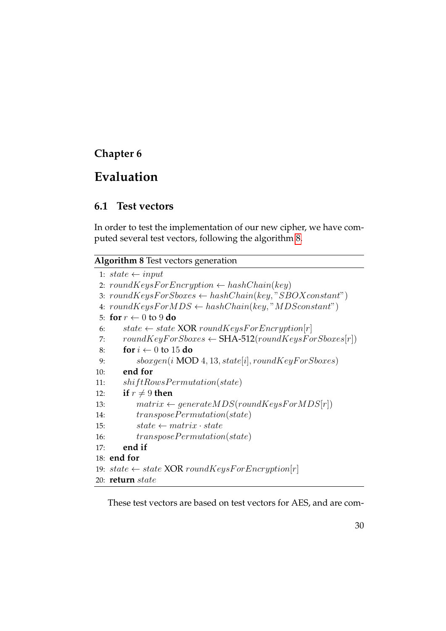## <span id="page-34-0"></span>**Chapter 6**

## **Evaluation**

## <span id="page-34-1"></span>**6.1 Test vectors**

In order to test the implementation of our new cipher, we have computed several test vectors, following the algorithm [8.](#page-0-0)

## **Algorithm 8** Test vectors generation

|     | 1: $state \leftarrow input$                                        |
|-----|--------------------------------------------------------------------|
|     | 2: roundKeysForEncryption $\leftarrow$ hashChain(key)              |
|     | 3: $roundKeysForSboxes \leftarrow hashChain(key, "SBOX constant")$ |
|     | 4. roundKeysForMDS $\leftarrow hashChain(key, "MDSconstant")$      |
|     | 5: for $r \leftarrow 0$ to 9 do                                    |
| 6:  | state $\leftarrow$ state XOR roundKeysForEncryption[r]             |
| 7:  | $roundKeyForSboxes \leftarrow SHA-512(roundKeysForSboxes[r])$      |
| 8:  | for $i \leftarrow 0$ to 15 do                                      |
| 9:  | $sboxgen(i \text{ MOD }4, 13, state[i], roundKeyForS boxes)$       |
| 10: | end for                                                            |
| 11: | shiftRowsPermutation(state)                                        |
| 12: | if $r \neq 9$ then                                                 |
| 13: | $matrix \leftarrow generateMDS(roundkeysForMDS[r])$                |
| 14: | transposePermutation(state)                                        |
| 15: | $state \leftarrow matrix \cdot state$                              |
| 16: | transposePermutation(state)                                        |
| 17: | end if                                                             |
|     | 18: end for                                                        |
|     | 19: state $\leftarrow$ state XOR round Keys For Encryption $ r $   |
|     | 20: <b>return</b> state                                            |

These test vectors are based on test vectors for AES, and are com-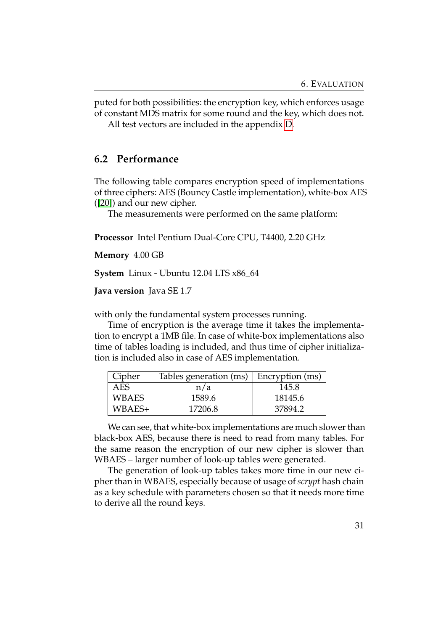puted for both possibilities: the encryption key, which enforces usage of constant MDS matrix for some round and the key, which does not.

All test vectors are included in the appendix [D.](#page-51-0)

#### <span id="page-35-0"></span>**6.2 Performance**

The following table compares encryption speed of implementations of three ciphers: AES (Bouncy Castle implementation), white-box AES ([\[20\]](#page-44-2)) and our new cipher.

The measurements were performed on the same platform:

**Processor** Intel Pentium Dual-Core CPU, T4400, 2.20 GHz

**Memory** 4.00 GB

**System** Linux - Ubuntu 12.04 LTS x86\_64

**Java version** Java SE 1.7

with only the fundamental system processes running.

Time of encryption is the average time it takes the implementation to encrypt a 1MB file. In case of white-box implementations also time of tables loading is included, and thus time of cipher initialization is included also in case of AES implementation.

| Cipher       | Tables generation $(ms)$   Encryption $(ms)$ |         |
|--------------|----------------------------------------------|---------|
| AES          | n/a                                          | 145.8   |
| <b>WBAES</b> | 1589.6                                       | 18145.6 |
| $WBAES+$     | 17206.8                                      | 37894.2 |

We can see, that white-box implementations are much slower than black-box AES, because there is need to read from many tables. For the same reason the encryption of our new cipher is slower than WBAES – larger number of look-up tables were generated.

The generation of look-up tables takes more time in our new cipher than in WBAES, especially because of usage of *scrypt* hash chain as a key schedule with parameters chosen so that it needs more time to derive all the round keys.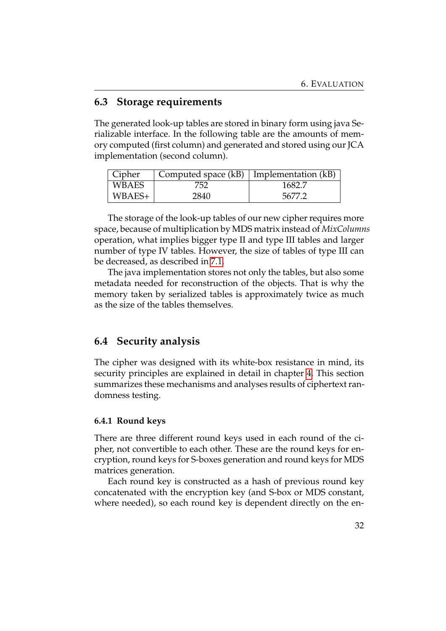### <span id="page-36-0"></span>**6.3 Storage requirements**

The generated look-up tables are stored in binary form using java Serializable interface. In the following table are the amounts of memory computed (first column) and generated and stored using our JCA implementation (second column).

| Cipher       | Computed space $(kB)$   Implementation $(kB)$ |        |
|--------------|-----------------------------------------------|--------|
| <b>WBAES</b> | 752                                           | 1682.7 |
| $WBAES+$     | 2840                                          | 5677.2 |

The storage of the look-up tables of our new cipher requires more space, because of multiplication by MDS matrix instead of *MixColumns* operation, what implies bigger type II and type III tables and larger number of type IV tables. However, the size of tables of type III can be decreased, as described in [7.1.](#page-39-1)

The java implementation stores not only the tables, but also some metadata needed for reconstruction of the objects. That is why the memory taken by serialized tables is approximately twice as much as the size of the tables themselves.

#### <span id="page-36-1"></span>**6.4 Security analysis**

The cipher was designed with its white-box resistance in mind, its security principles are explained in detail in chapter [4.](#page-22-0) This section summarizes these mechanisms and analyses results of ciphertext randomness testing.

#### <span id="page-36-2"></span>**6.4.1 Round keys**

There are three different round keys used in each round of the cipher, not convertible to each other. These are the round keys for encryption, round keys for S-boxes generation and round keys for MDS matrices generation.

Each round key is constructed as a hash of previous round key concatenated with the encryption key (and S-box or MDS constant, where needed), so each round key is dependent directly on the en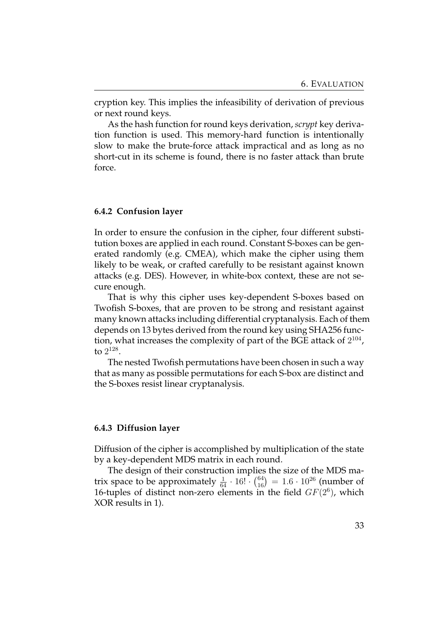cryption key. This implies the infeasibility of derivation of previous or next round keys.

As the hash function for round keys derivation, *scrypt* key derivation function is used. This memory-hard function is intentionally slow to make the brute-force attack impractical and as long as no short-cut in its scheme is found, there is no faster attack than brute force.

#### <span id="page-37-0"></span>**6.4.2 Confusion layer**

In order to ensure the confusion in the cipher, four different substitution boxes are applied in each round. Constant S-boxes can be generated randomly (e.g. CMEA), which make the cipher using them likely to be weak, or crafted carefully to be resistant against known attacks (e.g. DES). However, in white-box context, these are not secure enough.

That is why this cipher uses key-dependent S-boxes based on Twofish S-boxes, that are proven to be strong and resistant against many known attacks including differential cryptanalysis. Each of them depends on 13 bytes derived from the round key using SHA256 function, what increases the complexity of part of the BGE attack of  $2^{104}$ , to  $2^{128}$ .

The nested Twofish permutations have been chosen in such a way that as many as possible permutations for each S-box are distinct and the S-boxes resist linear cryptanalysis.

#### <span id="page-37-1"></span>**6.4.3 Diffusion layer**

Diffusion of the cipher is accomplished by multiplication of the state by a key-dependent MDS matrix in each round.

The design of their construction implies the size of the MDS matrix space to be approximately  $\frac{1}{64} \cdot 16! \cdot \binom{64}{16} = 1.6 \cdot 10^{26}$  (number of 16-tuples of distinct non-zero elements in the field  $GF(2^6)$ , which XOR results in 1).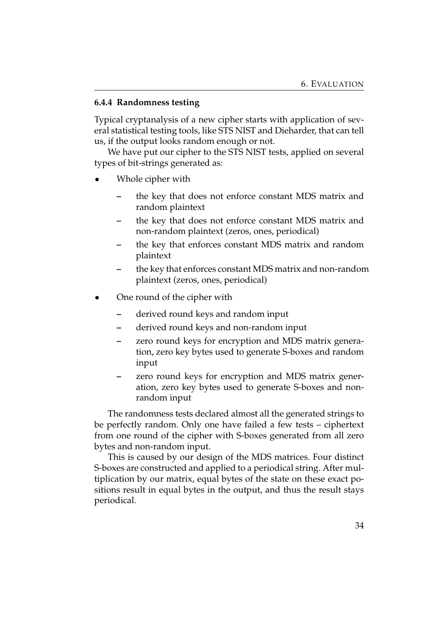#### <span id="page-38-0"></span>**6.4.4 Randomness testing**

Typical cryptanalysis of a new cipher starts with application of several statistical testing tools, like STS NIST and Dieharder, that can tell us, if the output looks random enough or not.

We have put our cipher to the STS NIST tests, applied on several types of bit-strings generated as:

- Whole cipher with
	- **–** the key that does not enforce constant MDS matrix and random plaintext
	- **–** the key that does not enforce constant MDS matrix and non-random plaintext (zeros, ones, periodical)
	- **–** the key that enforces constant MDS matrix and random plaintext
	- **–** the key that enforces constant MDS matrix and non-random plaintext (zeros, ones, periodical)
- One round of the cipher with
	- **–** derived round keys and random input
	- **–** derived round keys and non-random input
	- **–** zero round keys for encryption and MDS matrix generation, zero key bytes used to generate S-boxes and random input
	- **–** zero round keys for encryption and MDS matrix generation, zero key bytes used to generate S-boxes and nonrandom input

The randomness tests declared almost all the generated strings to be perfectly random. Only one have failed a few tests – ciphertext from one round of the cipher with S-boxes generated from all zero bytes and non-random input.

This is caused by our design of the MDS matrices. Four distinct S-boxes are constructed and applied to a periodical string. After multiplication by our matrix, equal bytes of the state on these exact positions result in equal bytes in the output, and thus the result stays periodical.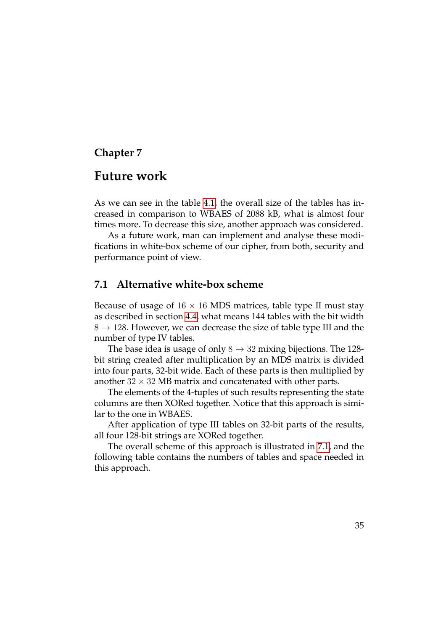### <span id="page-39-0"></span>**Chapter 7**

### **Future work**

As we can see in the table [4.1,](#page-31-0) the overall size of the tables has increased in comparison to WBAES of 2088 kB, what is almost four times more. To decrease this size, another approach was considered.

As a future work, man can implement and analyse these modifications in white-box scheme of our cipher, from both, security and performance point of view.

### <span id="page-39-1"></span>**7.1 Alternative white-box scheme**

Because of usage of  $16 \times 16$  MDS matrices, table type II must stay as described in section [4.4,](#page-28-1) what means 144 tables with the bit width  $8 \rightarrow 128$ . However, we can decrease the size of table type III and the number of type IV tables.

The base idea is usage of only  $8 \rightarrow 32$  mixing bijections. The 128bit string created after multiplication by an MDS matrix is divided into four parts, 32-bit wide. Each of these parts is then multiplied by another  $32 \times 32$  MB matrix and concatenated with other parts.

The elements of the 4-tuples of such results representing the state columns are then XORed together. Notice that this approach is similar to the one in WBAES.

After application of type III tables on 32-bit parts of the results, all four 128-bit strings are XORed together.

The overall scheme of this approach is illustrated in [7.1,](#page-40-0) and the following table contains the numbers of tables and space needed in this approach.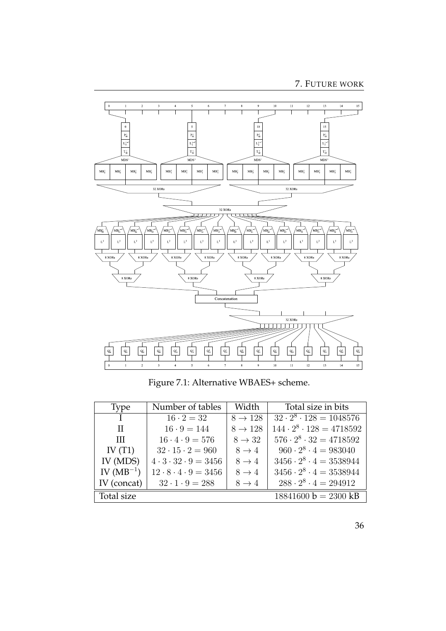<span id="page-40-0"></span>

Figure 7.1: Alternative WBAES+ scheme.

| <b>Type</b>    | Number of tables                    | Width               | Total size in bits                            |
|----------------|-------------------------------------|---------------------|-----------------------------------------------|
|                | $16 \cdot 2 = 32$                   | $8 \rightarrow 128$ | $\overline{32 \cdot 2^8 \cdot 128} = 1048576$ |
| H              | $16 \cdot 9 = 144$                  | $8 \rightarrow 128$ | $144 \cdot 2^8 \cdot 128 = 4718592$           |
| Ш              | $16 \cdot 4 \cdot 9 = 576$          | $8 \rightarrow 32$  | $576 \cdot 2^8 \cdot 32 = 4718592$            |
| IV $(T1)$      | $32 \cdot 15 \cdot 2 = 960$         | $8 \rightarrow 4$   | $960 \cdot 2^8 \cdot 4 = 983040$              |
| IV (MDS)       | $4 \cdot 3 \cdot 32 \cdot 9 = 3456$ | $8 \rightarrow 4$   | $3456 \cdot 2^8 \cdot 4 = 3538944$            |
| IV $(MB^{-1})$ | $12 \cdot 8 \cdot 4 \cdot 9 = 3456$ | $8 \rightarrow 4$   | $3456 \cdot 2^8 \cdot 4 = 3538944$            |
| IV (concat)    | $32 \cdot 1 \cdot 9 = 288$          | $8 \rightarrow 4$   | $288 \cdot 2^8 \cdot 4 = 294912$              |
| Total size     |                                     |                     | $18841600 b = 2300 kB$                        |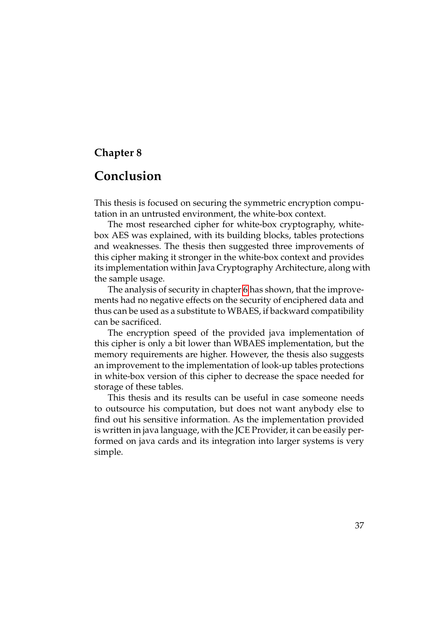## <span id="page-41-0"></span>**Chapter 8**

## **Conclusion**

This thesis is focused on securing the symmetric encryption computation in an untrusted environment, the white-box context.

The most researched cipher for white-box cryptography, whitebox AES was explained, with its building blocks, tables protections and weaknesses. The thesis then suggested three improvements of this cipher making it stronger in the white-box context and provides its implementation within Java Cryptography Architecture, along with the sample usage.

The analysis of security in chapter [6](#page-34-0) has shown, that the improvements had no negative effects on the security of enciphered data and thus can be used as a substitute to WBAES, if backward compatibility can be sacrificed.

The encryption speed of the provided java implementation of this cipher is only a bit lower than WBAES implementation, but the memory requirements are higher. However, the thesis also suggests an improvement to the implementation of look-up tables protections in white-box version of this cipher to decrease the space needed for storage of these tables.

This thesis and its results can be useful in case someone needs to outsource his computation, but does not want anybody else to find out his sensitive information. As the implementation provided is written in java language, with the JCE Provider, it can be easily performed on java cards and its integration into larger systems is very simple.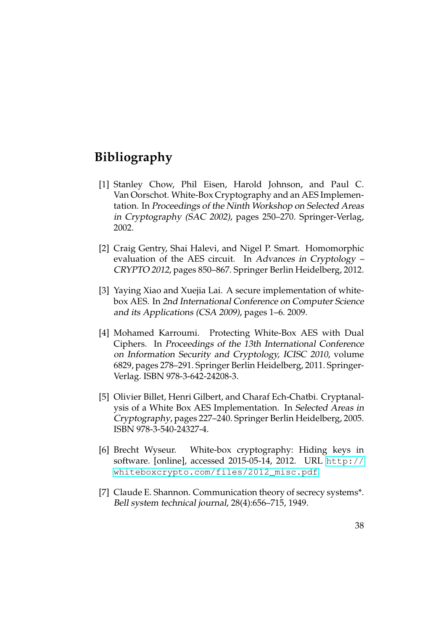## **Bibliography**

- <span id="page-42-0"></span>[1] Stanley Chow, Phil Eisen, Harold Johnson, and Paul C. Van Oorschot. White-Box Cryptography and an AES Implementation. In Proceedings of the Ninth Workshop on Selected Areas in Cryptography (SAC 2002), pages 250–270. Springer-Verlag, 2002.
- <span id="page-42-1"></span>[2] Craig Gentry, Shai Halevi, and Nigel P. Smart. Homomorphic evaluation of the AES circuit. In Advances in Cryptology – CRYPTO 2012, pages 850–867. Springer Berlin Heidelberg, 2012.
- <span id="page-42-2"></span>[3] Yaying Xiao and Xuejia Lai. A secure implementation of whitebox AES. In 2nd International Conference on Computer Science and its Applications (CSA 2009), pages 1–6. 2009.
- <span id="page-42-3"></span>[4] Mohamed Karroumi. Protecting White-Box AES with Dual Ciphers. In Proceedings of the 13th International Conference on Information Security and Cryptology, ICISC 2010, volume 6829, pages 278–291. Springer Berlin Heidelberg, 2011. Springer-Verlag. ISBN 978-3-642-24208-3.
- <span id="page-42-4"></span>[5] Olivier Billet, Henri Gilbert, and Charaf Ech-Chatbi. Cryptanalysis of a White Box AES Implementation. In Selected Areas in Cryptography, pages 227–240. Springer Berlin Heidelberg, 2005. ISBN 978-3-540-24327-4.
- [6] Brecht Wyseur. White-box cryptography: Hiding keys in software. [online], accessed 2015-05-14, 2012. URL [http://](http://whiteboxcrypto.com/files/2012_misc.pdf) [whiteboxcrypto.com/files/2012\\_misc.pdf](http://whiteboxcrypto.com/files/2012_misc.pdf).
- <span id="page-42-5"></span>[7] Claude E. Shannon. Communication theory of secrecy systems\*. Bell system technical journal, 28(4):656–715, 1949.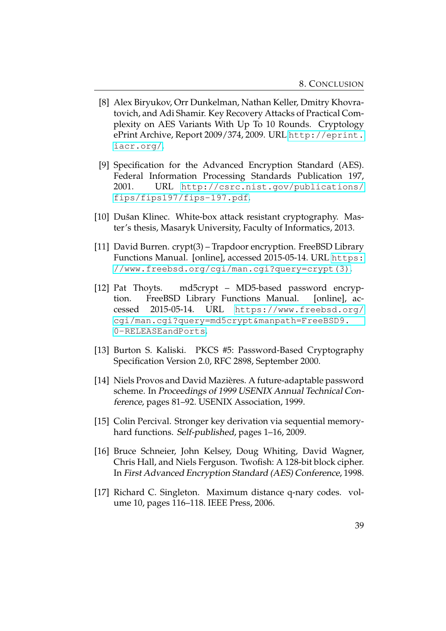- <span id="page-43-0"></span>[8] Alex Biryukov, Orr Dunkelman, Nathan Keller, Dmitry Khovratovich, and Adi Shamir. Key Recovery Attacks of Practical Complexity on AES Variants With Up To 10 Rounds. Cryptology ePrint Archive, Report 2009/374, 2009. URL [http://eprint.](http://eprint.iacr.org/) [iacr.org/](http://eprint.iacr.org/).
- <span id="page-43-1"></span>[9] Specification for the Advanced Encryption Standard (AES). Federal Information Processing Standards Publication 197, 2001. URL [http://csrc.nist.gov/publications/](http://csrc.nist.gov/publications/fips/fips197/fips-197.pdf) [fips/fips197/fips-197.pdf](http://csrc.nist.gov/publications/fips/fips197/fips-197.pdf).
- <span id="page-43-2"></span>[10] Dušan Klinec. White-box attack resistant cryptography. Master's thesis, Masaryk University, Faculty of Informatics, 2013.
- <span id="page-43-3"></span>[11] David Burren. crypt(3) – Trapdoor encryption. FreeBSD Library Functions Manual. [online], accessed 2015-05-14. URL [https:](https://www.freebsd.org/cgi/man.cgi?query=crypt(3)) [//www.freebsd.org/cgi/man.cgi?query=crypt\(3\)](https://www.freebsd.org/cgi/man.cgi?query=crypt(3)).
- <span id="page-43-4"></span>[12] Pat Thoyts. md5crypt – MD5-based password encryption. FreeBSD Library Functions Manual. [online], accessed 2015-05-14. URL [https://www.freebsd.org/](https://www.freebsd.org/cgi/man.cgi?query=md5crypt&manpath=FreeBSD 9.0-RELEASE and Ports) [cgi/man.cgi?query=md5crypt&manpath=FreeBSD9.](https://www.freebsd.org/cgi/man.cgi?query=md5crypt&manpath=FreeBSD 9.0-RELEASE and Ports) [0-RELEASEandPorts](https://www.freebsd.org/cgi/man.cgi?query=md5crypt&manpath=FreeBSD 9.0-RELEASE and Ports).
- <span id="page-43-5"></span>[13] Burton S. Kaliski. PKCS #5: Password-Based Cryptography Specification Version 2.0, RFC 2898, September 2000.
- <span id="page-43-6"></span>[14] Niels Provos and David Mazières. A future-adaptable password scheme. In Proceedings of 1999 USENIX Annual Technical Conference, pages 81–92. USENIX Association, 1999.
- <span id="page-43-7"></span>[15] Colin Percival. Stronger key derivation via sequential memoryhard functions. Self-published, pages 1–16, 2009.
- <span id="page-43-8"></span>[16] Bruce Schneier, John Kelsey, Doug Whiting, David Wagner, Chris Hall, and Niels Ferguson. Twofish: A 128-bit block cipher. In First Advanced Encryption Standard (AES) Conference, 1998.
- <span id="page-43-9"></span>[17] Richard C. Singleton. Maximum distance q-nary codes. volume 10, pages 116–118. IEEE Press, 2006.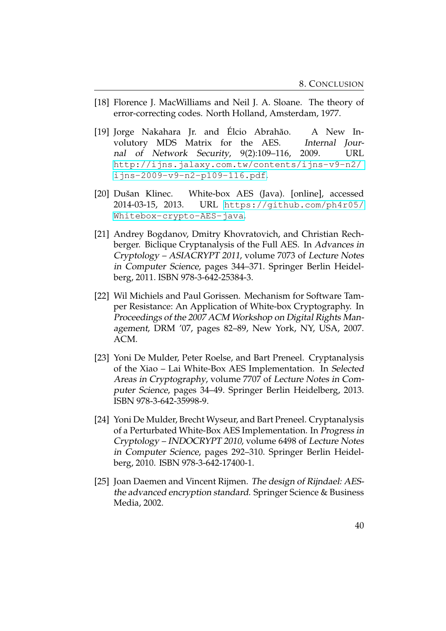- <span id="page-44-0"></span>[18] Florence J. MacWilliams and Neil J. A. Sloane. The theory of error-correcting codes. North Holland, Amsterdam, 1977.
- <span id="page-44-1"></span>[19] Jorge Nakahara Jr. and Élcio Abrahão. A New Involutory MDS Matrix for the AES. Internal Journal of Network Security, 9(2):109–116, 2009. URL [http://ijns.jalaxy.com.tw/contents/ijns-v9-n2/](http://ijns.jalaxy.com.tw/contents/ijns-v9-n2/ijns-2009-v9-n2-p109-116.pdf) [ijns-2009-v9-n2-p109-116.pdf](http://ijns.jalaxy.com.tw/contents/ijns-v9-n2/ijns-2009-v9-n2-p109-116.pdf).
- <span id="page-44-2"></span>[20] Dušan Klinec. White-box AES (Java). [online], accessed 2014-03-15, 2013. URL [https://github.com/ph4r05/](https://github.com/ph4r05/Whitebox-crypto-AES-java) [Whitebox-crypto-AES-java](https://github.com/ph4r05/Whitebox-crypto-AES-java).
- <span id="page-44-3"></span>[21] Andrey Bogdanov, Dmitry Khovratovich, and Christian Rechberger. Biclique Cryptanalysis of the Full AES. In Advances in Cryptology – ASIACRYPT 2011, volume 7073 of Lecture Notes in Computer Science, pages 344–371. Springer Berlin Heidelberg, 2011. ISBN 978-3-642-25384-3.
- <span id="page-44-4"></span>[22] Wil Michiels and Paul Gorissen. Mechanism for Software Tamper Resistance: An Application of White-box Cryptography. In Proceedings of the 2007 ACM Workshop on Digital Rights Management, DRM '07, pages 82–89, New York, NY, USA, 2007. ACM.
- [23] Yoni De Mulder, Peter Roelse, and Bart Preneel. Cryptanalysis of the Xiao – Lai White-Box AES Implementation. In Selected Areas in Cryptography, volume 7707 of Lecture Notes in Computer Science, pages 34–49. Springer Berlin Heidelberg, 2013. ISBN 978-3-642-35998-9.
- [24] Yoni De Mulder, Brecht Wyseur, and Bart Preneel. Cryptanalysis of a Perturbated White-Box AES Implementation. In Progress in Cryptology – INDOCRYPT 2010, volume 6498 of Lecture Notes in Computer Science, pages 292–310. Springer Berlin Heidelberg, 2010. ISBN 978-3-642-17400-1.
- [25] Joan Daemen and Vincent Rijmen. The design of Rijndael: AESthe advanced encryption standard. Springer Science & Business Media, 2002.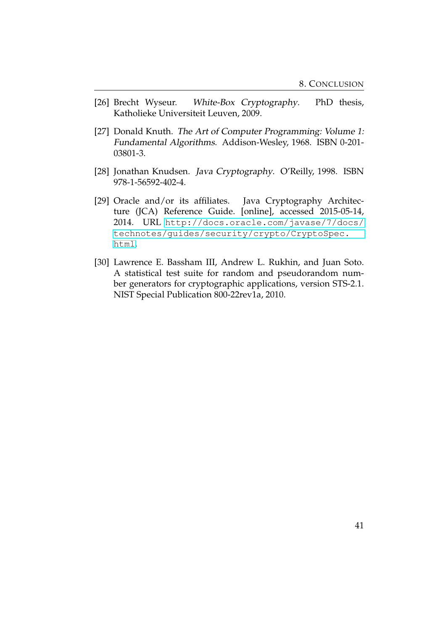- [26] Brecht Wyseur. White-Box Cryptography. PhD thesis, Katholieke Universiteit Leuven, 2009.
- [27] Donald Knuth. The Art of Computer Programming: Volume 1: Fundamental Algorithms. Addison-Wesley, 1968. ISBN 0-201- 03801-3.
- [28] Jonathan Knudsen. Java Cryptography. O'Reilly, 1998. ISBN 978-1-56592-402-4.
- [29] Oracle and/or its affiliates. Java Cryptography Architecture (JCA) Reference Guide. [online], accessed 2015-05-14, 2014. URL [http://docs.oracle.com/javase/7/docs/](http://docs.oracle.com/javase/7/docs/technotes/guides/security/crypto/CryptoSpec.html) [technotes/guides/security/crypto/CryptoSpec.](http://docs.oracle.com/javase/7/docs/technotes/guides/security/crypto/CryptoSpec.html) [html](http://docs.oracle.com/javase/7/docs/technotes/guides/security/crypto/CryptoSpec.html).
- [30] Lawrence E. Bassham III, Andrew L. Rukhin, and Juan Soto. A statistical test suite for random and pseudorandom number generators for cryptographic applications, version STS-2.1. NIST Special Publication 800-22rev1a, 2010.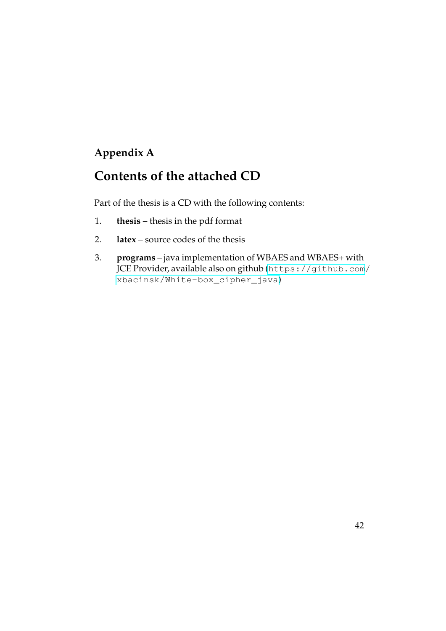## <span id="page-46-0"></span>**Appendix A**

## **Contents of the attached CD**

Part of the thesis is a CD with the following contents:

- 1. **thesis** thesis in the pdf format
- 2. **latex** source codes of the thesis
- 3. **programs** java implementation of WBAES and WBAES+ with JCE Provider, available also on github ([https://github.com](https://github.com/xbacinsk/White-box_cipher_java)/ [xbacinsk/White-box\\_cipher\\_java](https://github.com/xbacinsk/White-box_cipher_java))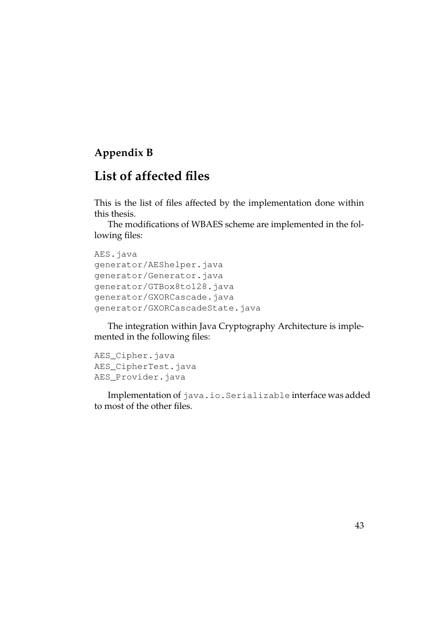## <span id="page-47-0"></span>**Appendix B**

## **List of affected files**

This is the list of files affected by the implementation done within this thesis.

The modifications of WBAES scheme are implemented in the following files:

```
AES.java
generator/AEShelper.java
generator/Generator.java
generator/GTBox8to128.java
generator/GXORCascade.java
generator/GXORCascadeState.java
```
The integration within Java Cryptography Architecture is implemented in the following files:

```
AES_Cipher.java
AES_CipherTest.java
AES_Provider.java
```
Implementation of java.io.Serializable interface was added to most of the other files.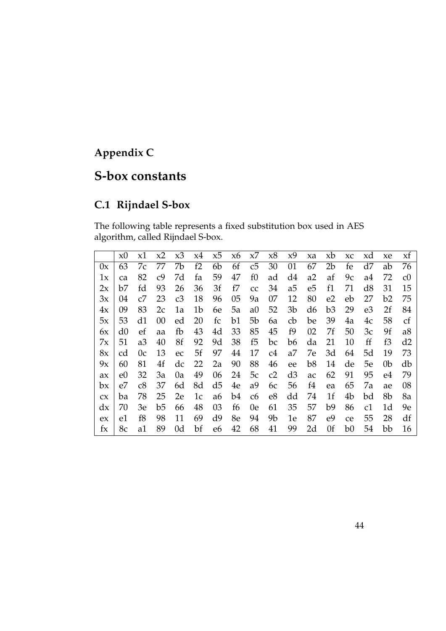## <span id="page-48-0"></span>**Appendix C**

## **S-box constants**

## <span id="page-48-1"></span>**C.1 Rijndael S-box**

The following table represents a fixed substitution box used in AES algorithm, called Rijndael S-box.

|     | x0 | x1 | x2             | x3 | x4 | x5             | x6 | х7             | x8             | x9             | xa             | xb             | XC | xd | xe | xf             |
|-----|----|----|----------------|----|----|----------------|----|----------------|----------------|----------------|----------------|----------------|----|----|----|----------------|
| 0x  | 63 | 7c | 77             | 7b | f2 | 6b             | 6f | c5             | 30             | 01             | 67             | 2 <sub>b</sub> | fe | d7 | ab | 76             |
| 1x  | ca | 82 | c9             | 7d | fa | 59             | 47 | $f_{0}$        | ad             | d4             | a2             | af             | 9c | a4 | 72 | c <sub>0</sub> |
| 2x  | b7 | fd | 93             | 26 | 36 | 3f             | f7 | cc             | 34             | a5             | e5             | f1             | 71 | d8 | 31 | 15             |
| 3x  | 04 | c7 | 23             | c3 | 18 | 96             | 05 | 9a             | 07             | 12             | 80             | e <sub>2</sub> | eb | 27 | b2 | 75             |
| 4x  | 09 | 83 | 2c             | 1a | 1b | 6e             | 5a | a0             | 52             | 3 <sub>b</sub> | d <sub>6</sub> | b3             | 29 | e3 | 2f | 84             |
| 5х  | 53 | d1 | 00             | ed | 20 | fc             | b1 | 5 <sub>b</sub> | 6a             | cb             | be             | 39             | 4a | 4c | 58 | $\mathsf{cf}$  |
| 6x  | d0 | ef | aa             | fb | 43 | 4d             | 33 | 85             | 45             | f9             | 02             | 7f             | 50 | 3c | 9f | a <sub>8</sub> |
| 7х  | 51 | a3 | 40             | 8f | 92 | 9d             | 38 | f5             | bc             | b6             | da             | 21             | 10 | ff | f3 | d2             |
| 8x  | cd | 0c | 13             | ec | 5f | 97             | 44 | 17             | c4             | a <sub>7</sub> | 7e             | 3d             | 64 | 5d | 19 | 73             |
| 9x  | 60 | 81 | 4f             | dc | 22 | 2a             | 90 | 88             | 46             | ee             | b <sub>8</sub> | 14             | de | 5e | 0b | db             |
| ax  | e0 | 32 | 3a             | 0a | 49 | 06             | 24 | 5c             | c2             | d3             | ac             | 62             | 91 | 95 | e4 | 79             |
| bx  | e7 | c8 | 37             | 6d | 8d | d <sub>5</sub> | 4e | a9             | 6c             | 56             | f4             | ea             | 65 | 7a | ae | 08             |
| C X | ba | 78 | 25             | 2e | 1c | a6             | b4 | c6             | e8             | dd             | 74             | 1 <sub>f</sub> | 4b | bd | 8b | 8a             |
| dx  | 70 | 3e | b <sub>5</sub> | 66 | 48 | 03             | f6 | 0e             | 61             | 35             | 57             | b9             | 86 | c1 | 1d | 9е             |
| ex  | e1 | f8 | 98             | 11 | 69 | d9             | 8e | 94             | 9 <sub>b</sub> | 1e             | 87             | e <sub>9</sub> | ce | 55 | 28 | df             |
| fx  | 8c | a1 | 89             | 0d | bf | e6             | 42 | 68             | 41             | 99             | 2d             | 0f             | b0 | 54 | bb | 16             |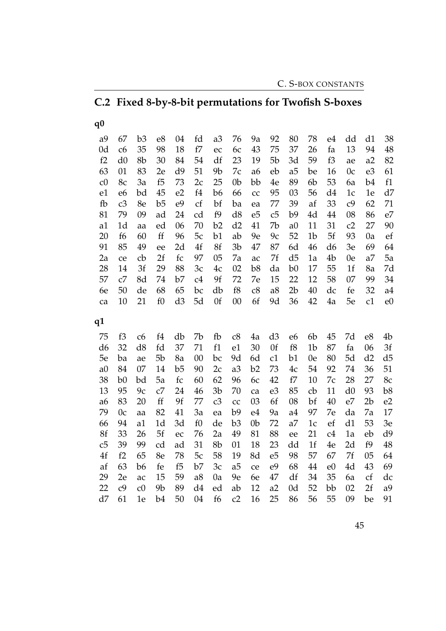<span id="page-49-0"></span>

| $C_{\rm 2}$    |                |                |                |                |                |                |                |                |                | Fixed 8-by-8-bit permutations for Twofish S-boxes |                |    |                |                |                |
|----------------|----------------|----------------|----------------|----------------|----------------|----------------|----------------|----------------|----------------|---------------------------------------------------|----------------|----|----------------|----------------|----------------|
| q0             |                |                |                |                |                |                |                |                |                |                                                   |                |    |                |                |                |
| a9             | 67             | b3             | e8             | 04             | fd             | a3             | 76             | 9a             | 92             | 80                                                | 78             | e4 | dd             | d1             | 38             |
| 0d             | c6             | 35             | 98             | 18             | f7             | ec             | 6с             | 43             | 75             | 37                                                | 26             | fa | 13             | 94             | 48             |
| f2             | d0             | 8b             | 30             | 84             | 54             | df             | 23             | 19             | 5b             | 3d                                                | 59             | f3 | ae             | a2             | 82             |
| 63             | 01             | 83             | 2e             | d <sub>9</sub> | 51             | 9b             | 7c             | a6             | eb             | a5                                                | be             | 16 | 0 <sub>c</sub> | e <sub>3</sub> | 61             |
| c0             | 8c             | 3a             | f5             | 73             | 2c             | 25             | 0 <sub>b</sub> | bb             | 4e             | 89                                                | 6b             | 53 | 6a             | b4             | f1             |
| e1             | e6             | bd             | 45             | e <sub>2</sub> | f4             | b6             | 66             | cc             | 95             | 03                                                | 56             | d4 | 1 <sub>c</sub> | 1e             | d7             |
| fb             | c3             | 8e             | b5             | e <sub>9</sub> | cf             | bf             | ba             | ea             | 77             | 39                                                | af             | 33 | c <sub>9</sub> | 62             | 71             |
| 81             | 79             | 09             | ad             | 24             | cd             | f9             | d8             | e <sub>5</sub> | c5             | b9                                                | 4d             | 44 | 08             | 86             | e7             |
| a1             | 1 <sub>d</sub> | aa             | ed             | 06             | 70             | b2             | d2             | 41             | 7b             | a <sub>0</sub>                                    | 11             | 31 | c2             | 27             | 90             |
| 20             | f6             | 60             | ff             | 96             | 5c             | b1             | ab             | 9e             | 9c             | 52                                                | 1 <sub>b</sub> | 5f | 93             | 0a             | ef             |
| 91             | 85             | 49             | ee             | 2d             | 4f             | 8f             | 3b             | 47             | 87             | 6d                                                | 46             | d6 | 3e             | 69             | 64             |
| 2a             | ce             | cb             | 2f             | fc             | 97             | 05             | 7a             | ac             | 7f             | d5                                                | 1a             | 4b | 0e             | a7             | 5a             |
| 28             | 14             | 3f             | 29             | 88             | Зc             | 4c             | 02             | b8             | da             | b <sub>0</sub>                                    | 17             | 55 | 1 <sub>f</sub> | 8a             | 7d             |
| 57             | c7             | 8d             | 74             | b7             | c4             | 9f             | 72             | 7e             | 15             | 22                                                | 12             | 58 | 07             | 99             | 34             |
| 6e             | 50             | de             | 68             | 65             | bc             | db             | f8             | c8             | a8             | 2 <sub>b</sub>                                    | 40             | dc | fe             | 32             | a4             |
| ca             | 10             | 21             | $f_{0}$        | d3             | 5d             | 0f             | 00             | 6f             | 9d             | 36                                                | 42             | 4a | 5e             | c1             | e <sub>0</sub> |
| q1             |                |                |                |                |                |                |                |                |                |                                                   |                |    |                |                |                |
| 75             | f3             | c6             | f4             | db             | 7b             | fb             | c8             | 4a             | d3             | e6                                                | 6b             | 45 | 7d             | e8             | 4b             |
| d <sub>6</sub> | 32             | d8             | fd             | 37             | 71             | f1             | e1             | 30             | 0f             | f8                                                | 1 <sub>b</sub> | 87 | fa             | 06             | 3f             |
| 5e             | ba             | ae             | 5b             | 8a             | 00             | bc             | 9d             | 6d             | c1             | b1                                                | 0e             | 80 | 5d             | d2             | d5             |
| a <sub>0</sub> | 84             | 07             | 14             | b5             | 90             | 2c             | a3             | b2             | 73             | 4c                                                | 54             | 92 | 74             | 36             | 51             |
| 38             | b0             | bd             | 5a             | fc             | 60             | 62             | 96             | 6с             | 42             | f7                                                | 10             | 7c | 28             | 27             | 8c             |
| 13             | 95             | 9c             | c7             | 24             | 46             | 3 <sub>b</sub> | 70             | ca             | e <sub>3</sub> | 85                                                | cb             | 11 | d0             | 93             | b8             |
| a6             | 83             | 20             | ff             | 9f             | 77             | c3             | cc             | 03             | 6f             | 08                                                | bf             | 40 | e7             | 2 <sub>b</sub> | e2             |
| 79             | 0c             | aa             | 82             | 41             | 3a             | ea             | b <sub>9</sub> | e4             | 9a             | a4                                                | 97             | 7e | da             | 7a             | 17             |
| 66             | 94             | a1             | 1 <sub>d</sub> | 3d             | f <sub>0</sub> | de             | b3             | 0 <sub>b</sub> | 72             | a7                                                | 1c             | ef | d1             | 53             | 3e             |
| 8f             | 33             | 26             | 5f             | ec             | 76             | 2a             | 49             | 81             | 88             | ee                                                | 21             | c4 | 1a             | eb             | d9             |
| c <sub>5</sub> | 39             | 99             | cd             | ad             | 31             | 8b             | 01             | 18             | 23             | dd                                                | 1 <sub>f</sub> | 4e | 2d             | f9             | 48             |
| 4f             | f2             | 65             | 8e             | 78             | 5c             | 58             | 19             | 8d             | e <sub>5</sub> | 98                                                | 57             | 67 | 7f             | 0 <sub>5</sub> | 64             |
| af             | 63             | b6             | fe             | f5             | b7             | 3c             | a <sub>5</sub> | ce             | e <sub>9</sub> | 68                                                | 44             | e0 | 4d             | 43             | 69             |
| 29             | 2e             | ac             | 15             | 59             | a8             | 0a             | 9e             | 6e             | 47             | df                                                | 34             | 35 | 6a             | cf             | dc             |
| 22             | c <sub>9</sub> | c <sub>0</sub> | 9 <sub>b</sub> | 89             | d4             | ed             | ab             | 12             | a2             | 0d                                                | 52             | bb | 02             | 2f             | a9             |
| d7             | 61             | 1e             | b4             | 50             | 04             | f6             | c2             | 16             | 25             | 86                                                | 56             | 55 | 09             | be             | 91             |

# **C.2 Fixed 8-by-8-bit permutations for Twofish S-boxes**

45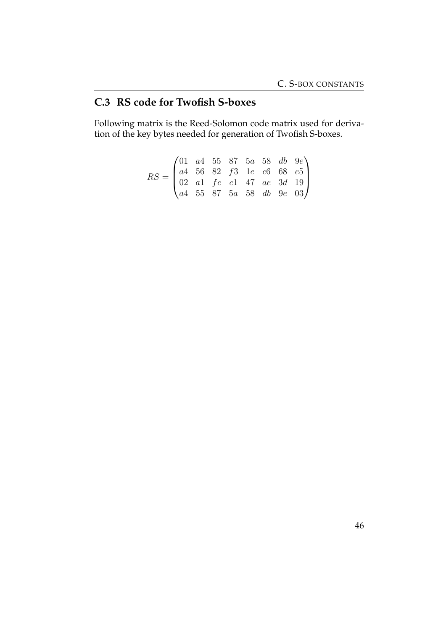## <span id="page-50-0"></span>**C.3 RS code for Twofish S-boxes**

Following matrix is the Reed-Solomon code matrix used for derivation of the key bytes needed for generation of Twofish S-boxes.

$$
RS = \begin{pmatrix} 01 & a4 & 55 & 87 & 5a & 58 & db & 9e \\ a4 & 56 & 82 & f3 & 1e & c6 & 68 & e5 \\ 02 & a1 & fc & c1 & 47 & ae & 3d & 19 \\ a4 & 55 & 87 & 5a & 58 & db & 9e & 03 \end{pmatrix}
$$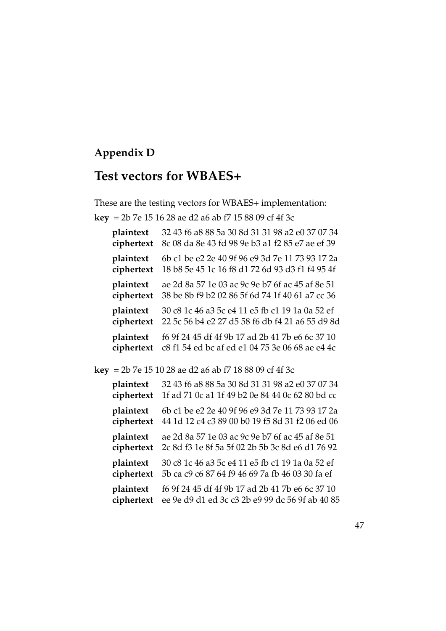## <span id="page-51-0"></span>**Appendix D**

## **Test vectors for WBAES+**

These are the testing vectors for WBAES+ implementation:

**key** = 2b 7e 15 16 28 ae d2 a6 ab f7 15 88 09 cf 4f 3c

| plaintext  | 32 43 f6 a8 88 5a 30 8d 31 31 98 a2 e0 37 07 34 |
|------------|-------------------------------------------------|
| ciphertext | 8c 08 da 8e 43 fd 98 9e b3 a1 f2 85 e7 ae ef 39 |
| plaintext  | 6b c1 be e2 2e 40 9f 96 e9 3d 7e 11 73 93 17 2a |
| ciphertext | 18 b8 5e 45 1c 16 f8 d1 72 6d 93 d3 f1 f4 95 4f |
| plaintext  | ae 2d 8a 57 1e 03 ac 9c 9e b7 6f ac 45 af 8e 51 |
| ciphertext | 38 be 8b f9 b2 02 86 5f 6d 74 1f 40 61 a7 cc 36 |
| plaintext  | 30 c8 1c 46 a3 5c e4 11 e5 fb c1 19 1a 0a 52 ef |
| ciphertext | 22 5c 56 b4 e2 27 d5 58 f6 db f4 21 a6 55 d9 8d |
| plaintext  | f6 9f 24 45 df 4f 9b 17 ad 2b 41 7b e6 6c 37 10 |
| ciphertext | c8 f1 54 ed bc af ed e1 04 75 3e 06 68 ae e4 4c |

**key** = 2b 7e 15 10 28 ae d2 a6 ab f7 18 88 09 cf 4f 3c

| plaintext  | 32 43 f6 a8 88 5a 30 8d 31 31 98 a2 e0 37 07 34 |
|------------|-------------------------------------------------|
| ciphertext | 1f ad 71 0c a1 1f 49 b2 0e 84 44 0c 62 80 bd cc |
| plaintext  | 6b c1 be e2 2e 40 9f 96 e9 3d 7e 11 73 93 17 2a |
| ciphertext | 44 1d 12 c4 c3 89 00 b0 19 f5 8d 31 f2 06 ed 06 |
| plaintext  | ae 2d 8a 57 1e 03 ac 9c 9e b7 6f ac 45 af 8e 51 |
| ciphertext | 2c 8d f3 1e 8f 5a 5f 02 2b 5b 3c 8d e6 d1 76 92 |
| plaintext  | 30 c8 1c 46 a3 5c e4 11 e5 fb c1 19 1a 0a 52 ef |
| ciphertext | 5b ca c9 c6 87 64 f9 46 69 7a fb 46 03 30 fa ef |
| plaintext  | f6 9f 24 45 df 4f 9b 17 ad 2b 41 7b e6 6c 37 10 |
| ciphertext | ee 9e d9 d1 ed 3c c3 2b e9 99 dc 56 9f ab 40 85 |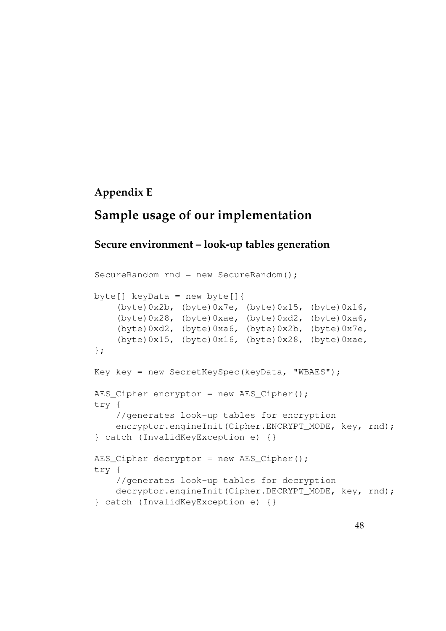## <span id="page-52-0"></span>**Appendix E**

## **Sample usage of our implementation**

### **Secure environment – look-up tables generation**

```
SecureRandom rnd = new SecureRandom();
byte[] keyData = new byte[]{
    (byte)0x2b, (byte)0x7e, (byte)0x15, (byte)0x16,(byte)0x28, (byte)0xae, (byte)0xd2, (byte)0xa6,
    (byte)0xd2, (byte)0xa6, (byte)0x2b, (byte)0x7e,
    (byte)0x15, (byte)0x16, (byte)0x28, (byte)0xae,
};
Key key = new SecretKeySpec(keyData, "WBAES");
AES\_Cipher encryptor = new AES\_Cipher();
try {
    //generates look-up tables for encryption
    encryptor.engineInit(Cipher.ENCRYPT_MODE, key, rnd);
} catch (InvalidKeyException e) {}
AES_Cipher decryptor = new AES_Cipher();
try {
    //generates look-up tables for decryption
    decryptor.engineInit(Cipher.DECRYPT_MODE, key, rnd);
} catch (InvalidKeyException e) {}
```